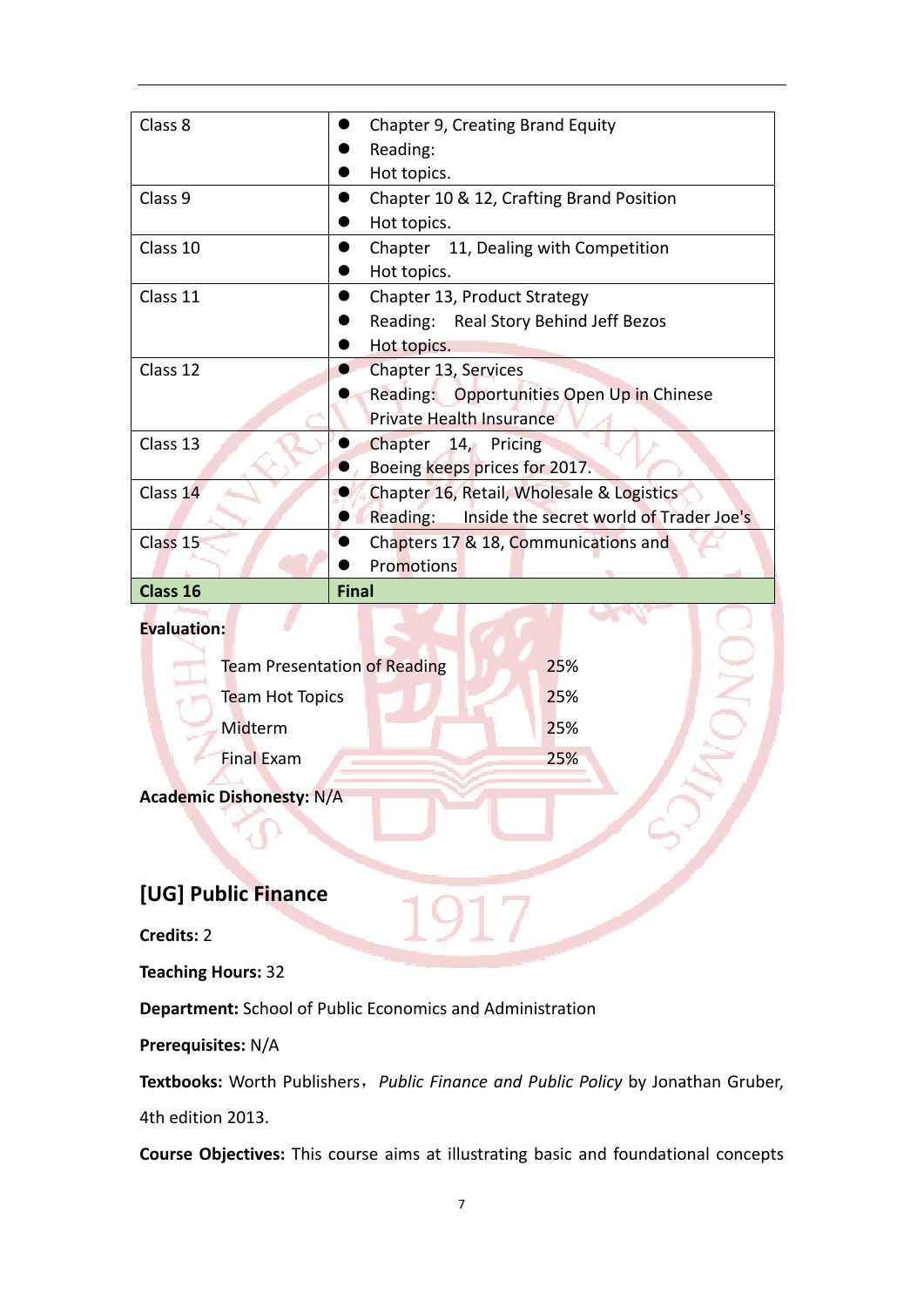| Class 8             | Chapter 9, Creating Brand Equity                 |  |  |  |
|---------------------|--------------------------------------------------|--|--|--|
|                     | Reading:                                         |  |  |  |
|                     | Hot topics.                                      |  |  |  |
| Class 9             | Chapter 10 & 12, Crafting Brand Position         |  |  |  |
|                     | Hot topics.                                      |  |  |  |
| Class 10            | Chapter 11, Dealing with Competition             |  |  |  |
|                     | Hot topics.                                      |  |  |  |
| Class 11            | Chapter 13, Product Strategy                     |  |  |  |
|                     | Reading: Real Story Behind Jeff Bezos            |  |  |  |
|                     | Hot topics.                                      |  |  |  |
| Class 12            | Chapter 13, Services                             |  |  |  |
|                     | Reading: Opportunities Open Up in Chinese        |  |  |  |
|                     | Private Health Insurance                         |  |  |  |
| Class 13            | Chapter 14, Pricing                              |  |  |  |
|                     | Boeing keeps prices for 2017.                    |  |  |  |
| Class 14            | Chapter 16, Retail, Wholesale & Logistics        |  |  |  |
|                     | Reading: Inside the secret world of Trader Joe's |  |  |  |
| Class <sub>15</sub> | Chapters 17 & 18, Communications and             |  |  |  |
|                     | Promotions                                       |  |  |  |
| Class 16            | <b>Final</b>                                     |  |  |  |
| <b>Evaluation:</b>  |                                                  |  |  |  |

## **Evaluation:**

| <b>Team Presentation of Reading</b> | 25% |  |
|-------------------------------------|-----|--|
| Team Hot Topics                     | 25% |  |
| Midterm                             | 25% |  |
| <b>Final Exam</b>                   | 25% |  |
|                                     |     |  |

**Academic Dishonesty:** N/A

# **[UG] Public Finance**

**Credits:** 2

**Teaching Hours:** 32

**Department:** School of Public Economics and Administration

**Prerequisites:** N/A

**Textbooks:** Worth Publishers,*Public Finance and Public Policy* by Jonathan Gruber,

4th edition 2013.

**Course Objectives:** This course aims at illustrating basic and foundational concepts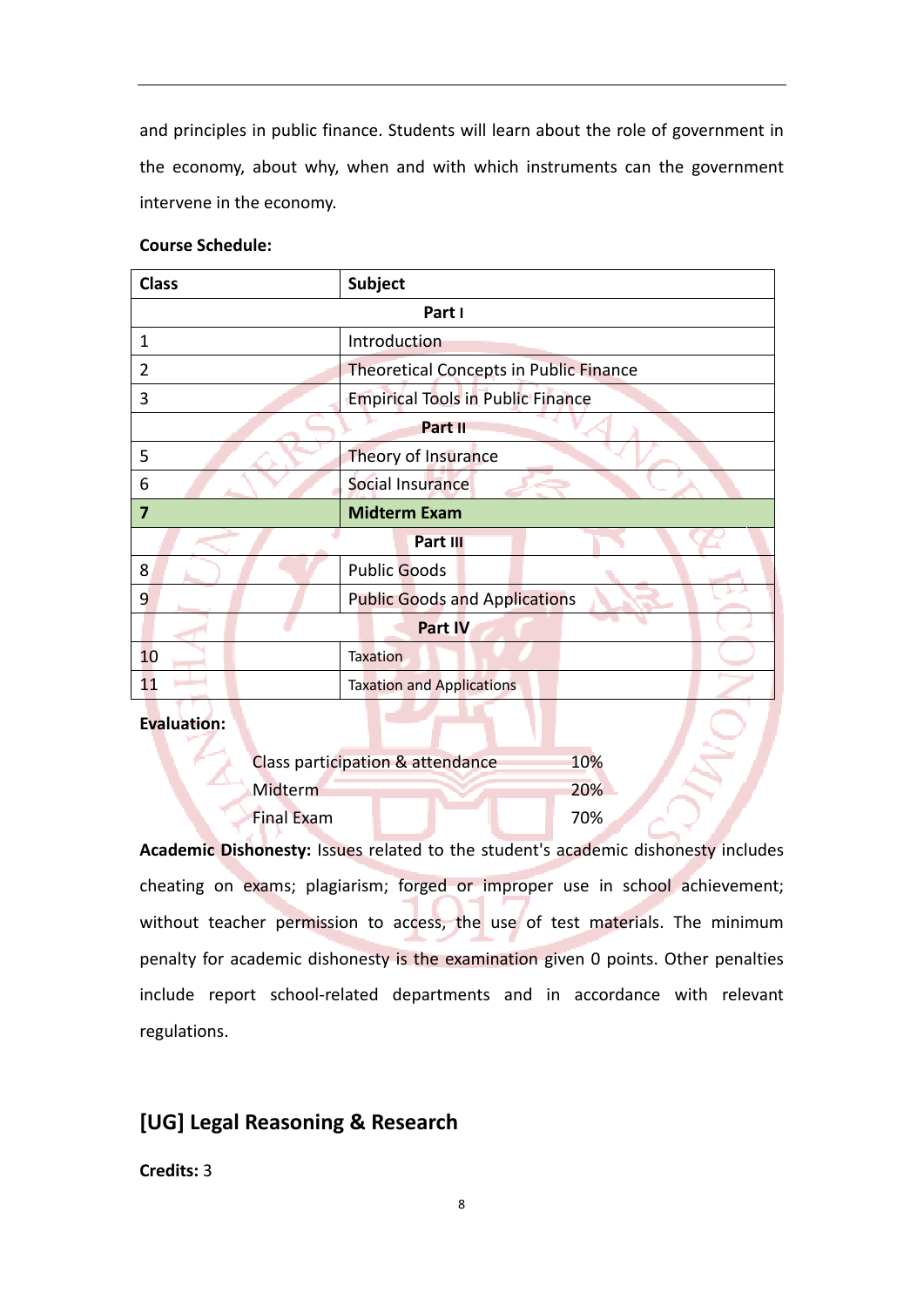and principles in public finance. Students will learn about the role of government in the economy, about why, when and with which instruments can the government intervene in the economy.

|  | <b>Course Schedule:</b> |
|--|-------------------------|
|--|-------------------------|

| <b>Class</b>   | Subject                                       |  |
|----------------|-----------------------------------------------|--|
| Part I         |                                               |  |
| 1              | Introduction                                  |  |
| 2              | <b>Theoretical Concepts in Public Finance</b> |  |
| 3              | <b>Empirical Tools in Public Finance</b>      |  |
| Part II        |                                               |  |
| 5              | Theory of Insurance                           |  |
| 6              | Social Insurance                              |  |
| 7              | <b>Midterm Exam</b>                           |  |
|                | Part III                                      |  |
| 8              | <b>Public Goods</b>                           |  |
| 9              | <b>Public Goods and Applications</b>          |  |
| <b>Part IV</b> |                                               |  |
| 10             | <b>Taxation</b>                               |  |
| 11             | <b>Taxation and Applications</b>              |  |

**Evaluation** 

|                   | Class participation & attendance | 10%        |
|-------------------|----------------------------------|------------|
| <b>Midterm</b>    |                                  | <b>20%</b> |
| <b>Final Exam</b> |                                  | 70%        |

**Academic Dishonesty:** Issues related to the student's academic dishonesty includes cheating on exams; plagiarism; forged or improper use in school achievement; without teacher permission to access, the use of test materials. The minimum penalty for academic dishonesty is the examination given 0 points. Other penalties include report school-related departments and in accordance with relevant regulations.

# **[UG] Legal Reasoning & Research**

**Credits:** 3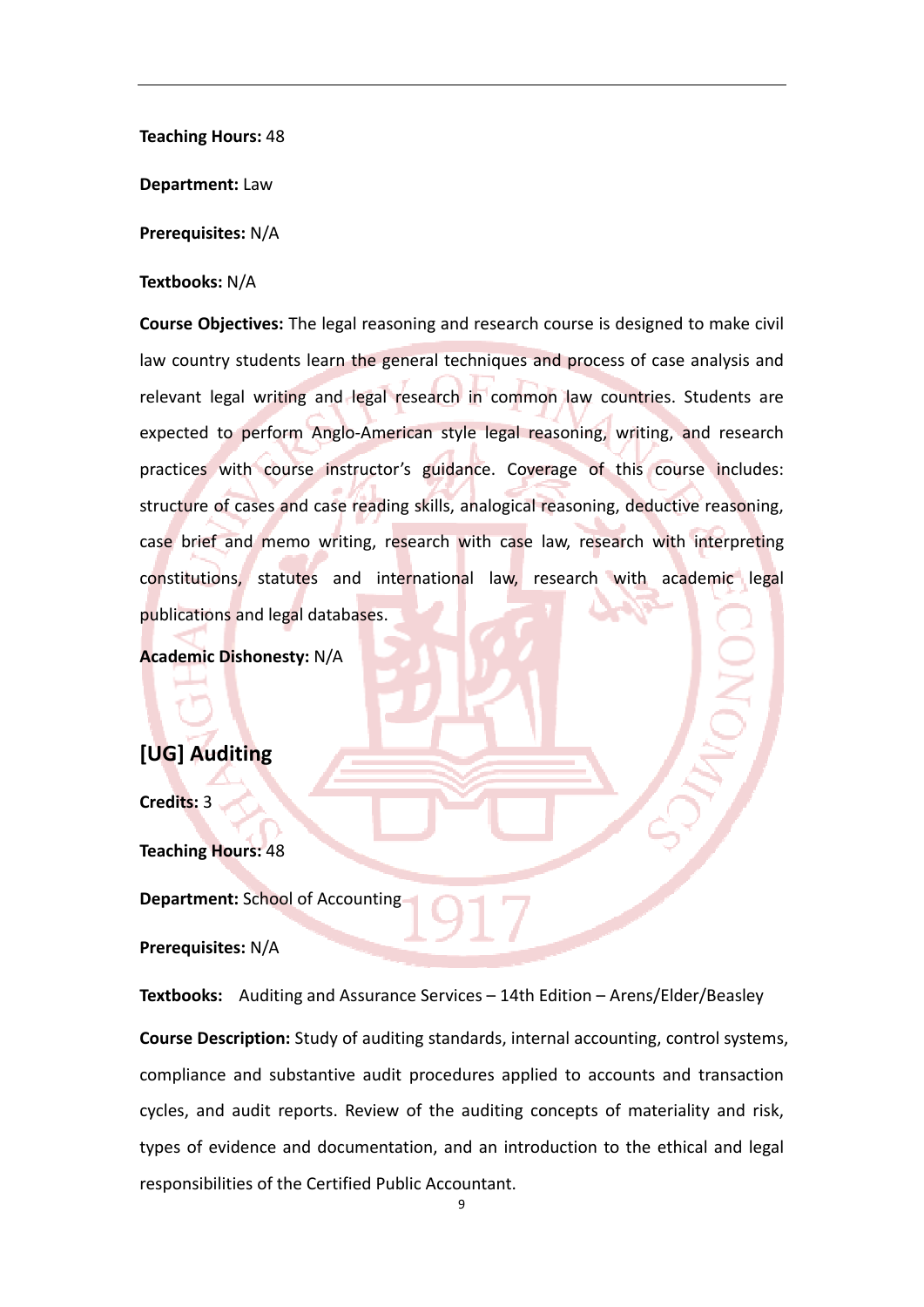**Teaching Hours:** 48

**Department:** Law

**Prerequisites:** N/A

#### **Textbooks:** N/A

**Course Objectives:** The legal reasoning and research course is designed to make civil law country students learn the general techniques and process of case analysis and relevant legal writing and legal research in common law countries. Students are expected to perform Anglo-American style legal reasoning, writing, and research practices with course instructor's guidance. Coverage of this course includes: structure of cases and case reading skills, analogical reasoning, deductive reasoning, case brief and memo writing, research with case law, research with interpreting constitutions, statutes and international law, research with academic legal publications and legal databases.

**Academic Dishonesty:** N/A

# **[UG] Auditing**

**Credits:** 3

**Teaching Hours:** 48

**Department:** School of Accounting

**Prerequisites:** N/A

**Textbooks:** Auditing and Assurance Services – 14th Edition – Arens/Elder/Beasley **Course Description:** Study of auditing standards, internal accounting, control systems, compliance and substantive audit procedures applied to accounts and transaction cycles, and audit reports. Review of the auditing concepts of materiality and risk, types of evidence and documentation, and an introduction to the ethical and legal responsibilities of the Certified Public Accountant.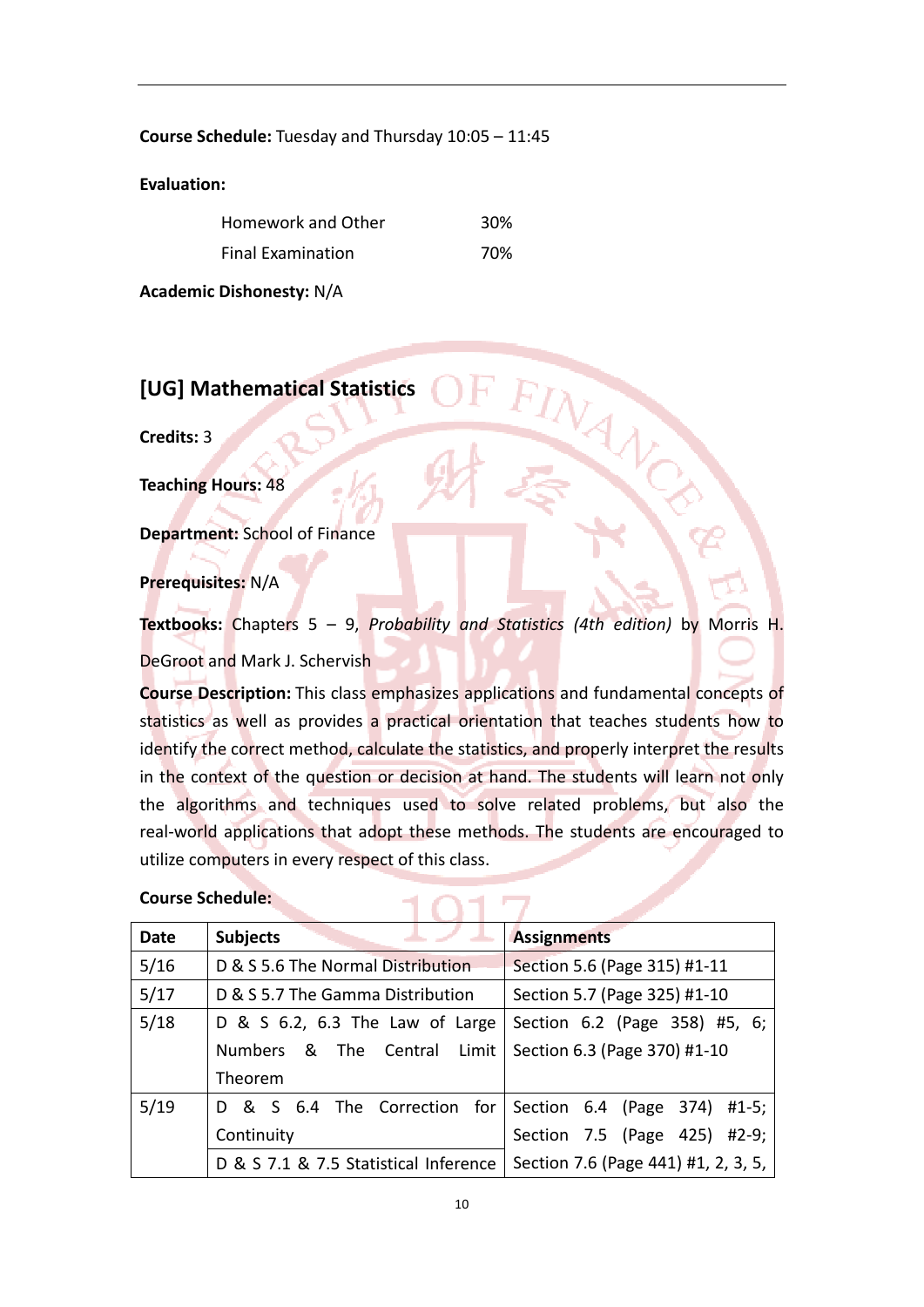**Course Schedule:** Tuesday and Thursday 10:05 – 11:45

**Evaluation:**

| Homework and Other       | 30% |
|--------------------------|-----|
| <b>Final Examination</b> | 70% |

**Academic Dishonesty:** N/A

**[UG] Mathematical Statistics**

**Credits:** 3

**Teaching Hours:** 48

**Department:** School of Finance

**Prerequisites:** N/A

**Textbooks:** Chapters 5 – 9, *Probability and Statistics (4th edition)* by Morris H. DeGroot and Mark J. Schervish

**Course Description:** This class emphasizes applications and fundamental concepts of statistics as well as provides a practical orientation that teaches students how to identify the correct method, calculate the statistics, and properly interpret the results in the context of the question or decision at hand. The students will learn not only the algorithms and techniques used to solve related problems, but also the real-world applications that adopt these methods. The students are encouraged to utilize computers in every respect of this class.

## **Course Schedule:**

| Date | <b>Subjects</b>                       | <b>Assignments</b>                  |
|------|---------------------------------------|-------------------------------------|
| 5/16 | D & S 5.6 The Normal Distribution     | Section 5.6 (Page 315) #1-11        |
| 5/17 | D & S 5.7 The Gamma Distribution      | Section 5.7 (Page 325) #1-10        |
| 5/18 | D & S $6.2$ , $6.3$ The Law of Large  | Section 6.2 (Page 358) #5, 6;       |
|      | Numbers & The Central Limit           | Section 6.3 (Page 370) #1-10        |
|      | Theorem                               |                                     |
| 5/19 | D & S 6.4 The Correction for          | Section 6.4 (Page 374) #1-5;        |
|      | Continuity                            | Section 7.5 (Page 425)<br>$#2-9;$   |
|      | D & S 7.1 & 7.5 Statistical Inference | Section 7.6 (Page 441) #1, 2, 3, 5, |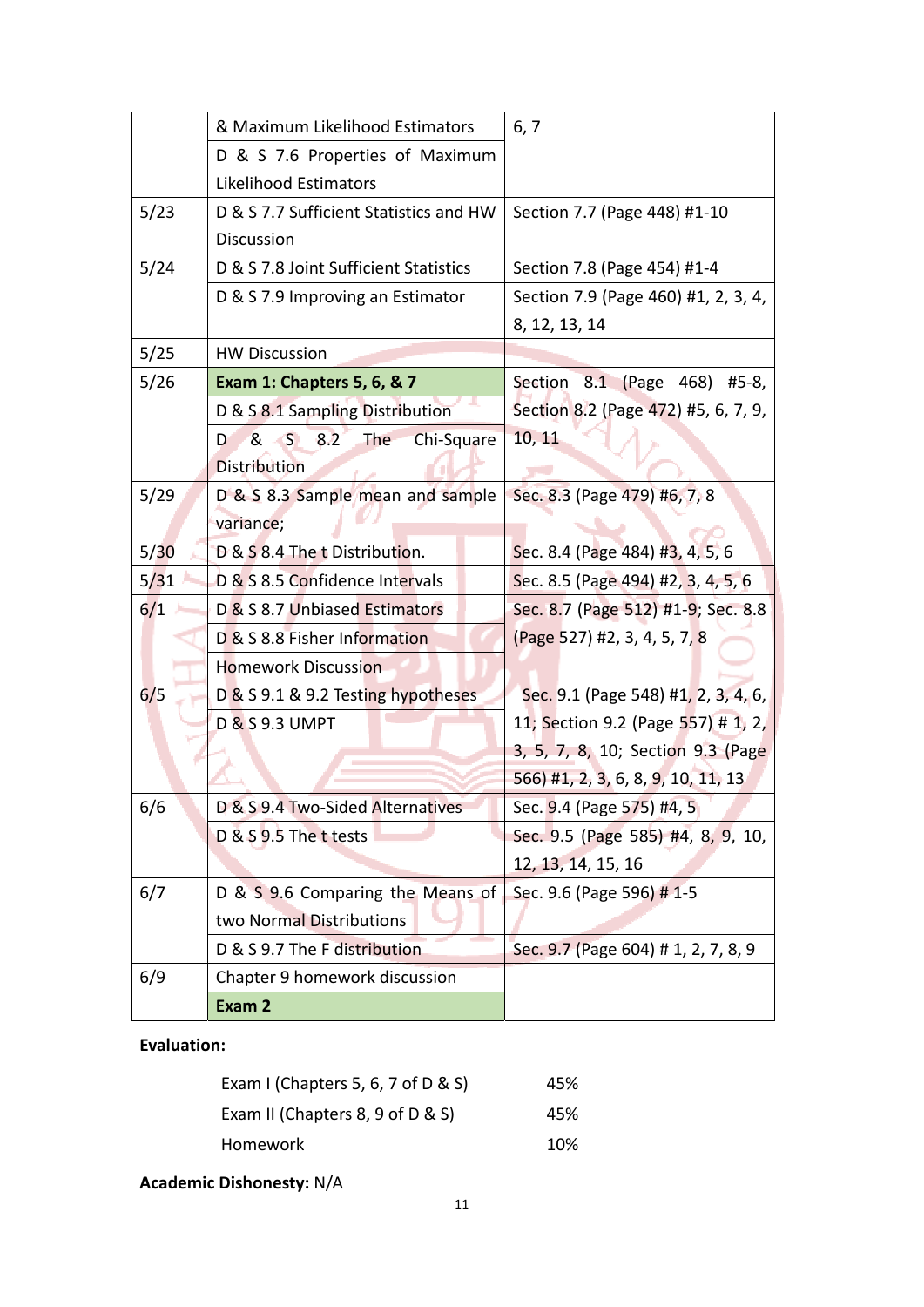|      | & Maximum Likelihood Estimators        | 6, 7                                |
|------|----------------------------------------|-------------------------------------|
|      | D & S 7.6 Properties of Maximum        |                                     |
|      | Likelihood Estimators                  |                                     |
| 5/23 | D & S 7.7 Sufficient Statistics and HW | Section 7.7 (Page 448) #1-10        |
|      | <b>Discussion</b>                      |                                     |
| 5/24 | D & S 7.8 Joint Sufficient Statistics  | Section 7.8 (Page 454) #1-4         |
|      | D & S 7.9 Improving an Estimator       | Section 7.9 (Page 460) #1, 2, 3, 4, |
|      |                                        | 8, 12, 13, 14                       |
| 5/25 | <b>HW Discussion</b>                   |                                     |
| 5/26 | Exam 1: Chapters 5, 6, & 7             | Section 8.1 (Page 468) #5-8,        |
|      | D & S 8.1 Sampling Distribution        | Section 8.2 (Page 472) #5, 6, 7, 9, |
|      | & S 8.2<br>Chi-Square<br>The<br>D      | 10, 11                              |
|      | <b>Distribution</b>                    |                                     |
| 5/29 | D & S 8.3 Sample mean and sample       | Sec. 8.3 (Page 479) #6, 7, 8        |
|      | variance;                              |                                     |
| 5/30 | D & S 8.4 The t Distribution.          | Sec. 8.4 (Page 484) #3, 4, 5, 6     |
| 5/31 | D & S 8.5 Confidence Intervals         | Sec. 8.5 (Page 494) #2, 3, 4, 5, 6  |
| 6/1  | D & S 8.7 Unbiased Estimators          | Sec. 8.7 (Page 512) #1-9; Sec. 8.8  |
|      | D & S 8.8 Fisher Information           | (Page 527) #2, 3, 4, 5, 7, 8        |
|      | <b>Homework Discussion</b>             |                                     |
| 6/5  | D & S 9.1 & 9.2 Testing hypotheses     | Sec. 9.1 (Page 548) #1, 2, 3, 4, 6, |
|      | D & S 9.3 UMPT                         | 11; Section 9.2 (Page 557) # 1, 2,  |
|      |                                        | 3, 5, 7, 8, 10; Section 9.3 (Page   |
|      |                                        | 566) #1, 2, 3, 6, 8, 9, 10, 11, 13  |
| 6/6  | D & S 9.4 Two-Sided Alternatives       | Sec. 9.4 (Page 575) #4, 5           |
|      | D & S 9.5 The t tests                  | Sec. 9.5 (Page 585) #4, 8, 9, 10,   |
|      |                                        | 12, 13, 14, 15, 16                  |
| 6/7  | D & S 9.6 Comparing the Means of       | Sec. 9.6 (Page 596) # 1-5           |
|      | two Normal Distributions               |                                     |
|      | D & S 9.7 The F distribution           | Sec. 9.7 (Page 604) # 1, 2, 7, 8, 9 |
| 6/9  | Chapter 9 homework discussion          |                                     |
|      | Exam 2                                 |                                     |

**Evaluation:**

| 45% |
|-----|
| 45% |
| 10% |
|     |

**Academic Dishonesty:** N/A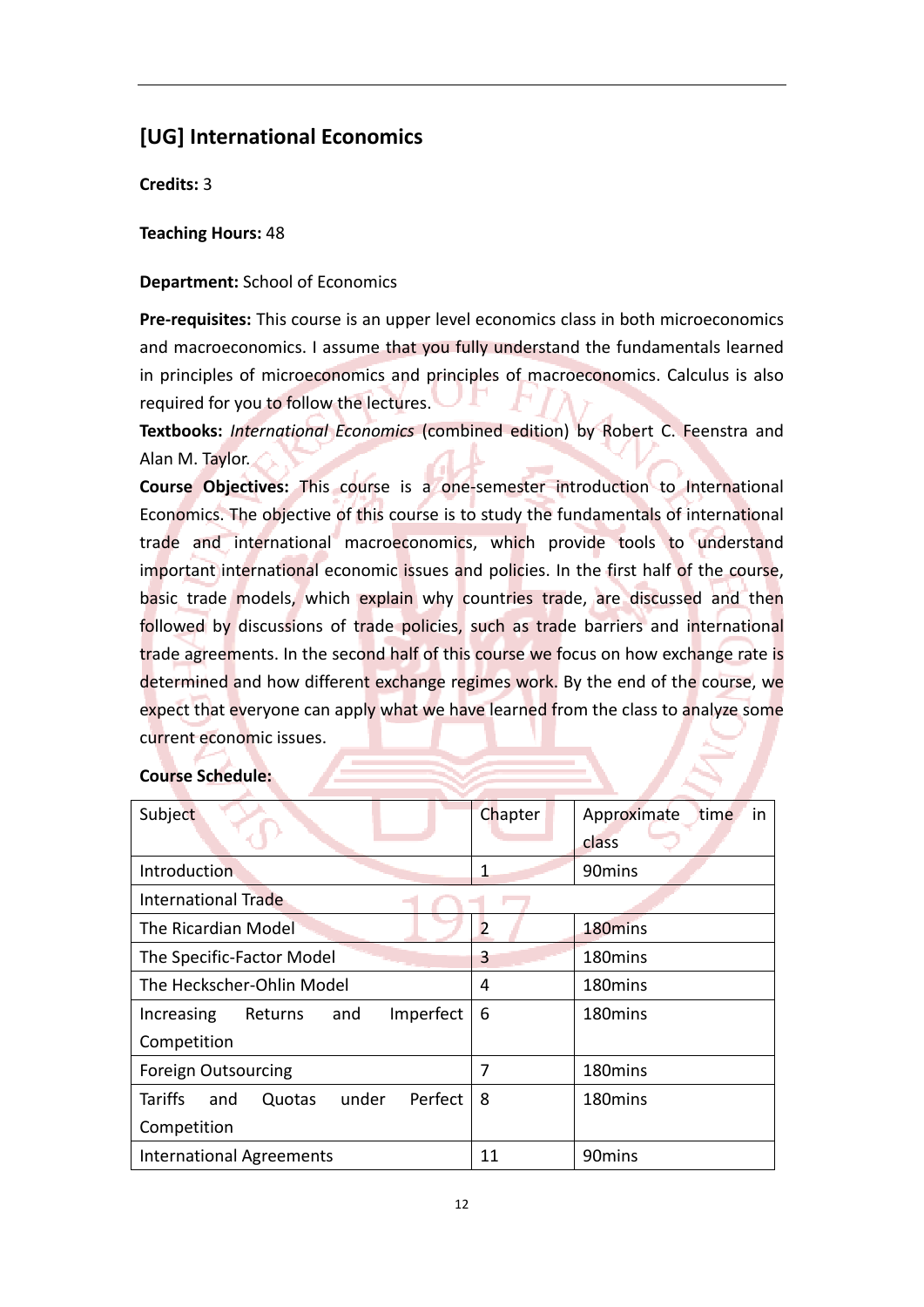# **[UG] International Economics**

**Credits:** 3

**Teaching Hours:** 48

## **Department:** School of Economics

**Pre-requisites:** This course is an upper level economics class in both microeconomics and macroeconomics. I assume that you fully understand the fundamentals learned in principles of microeconomics and principles of macroeconomics. Calculus is also required for you to follow the lectures.

**Textbooks:** *International Economics* (combined edition) by Robert C. Feenstra and Alan M. Taylor.

**Course Objectives:** This course is a one‐semester introduction to International Economics. The objective of this course is to study the fundamentals of international trade and international macroeconomics, which provide tools to understand important international economic issues and policies. In the first half of the course, basic trade models, which explain why countries trade, are discussed and then followed by discussions of trade policies, such as trade barriers and international trade agreements. In the second half of this course we focus on how exchange rate is determined and how different exchange regimes work. By the end of the course, we expect that everyone can apply what we have learned from the class to analyze some current economic issues.

| Subject                                          | Chapter | Approximate<br>time.<br>in<br>class |
|--------------------------------------------------|---------|-------------------------------------|
| Introduction                                     | 1       | 90 <sub>mins</sub>                  |
| <b>International Trade</b>                       |         |                                     |
| The Ricardian Model                              | 2       | 180 <sub>mins</sub>                 |
| The Specific-Factor Model                        | 3       | 180mins                             |
| The Heckscher-Ohlin Model                        | 4       | 180mins                             |
| Imperfect<br>and<br>Increasing<br><b>Returns</b> | 6       | 180 <sub>mins</sub>                 |
| Competition                                      |         |                                     |
| <b>Foreign Outsourcing</b>                       | 7       | 180mins                             |
| Tariffs<br>under<br>Perfect<br>and<br>Quotas     | 8       | 180 <sub>mins</sub>                 |
| Competition                                      |         |                                     |
| <b>International Agreements</b>                  | 11      | 90 <sub>mins</sub>                  |

## **Course Schedule:**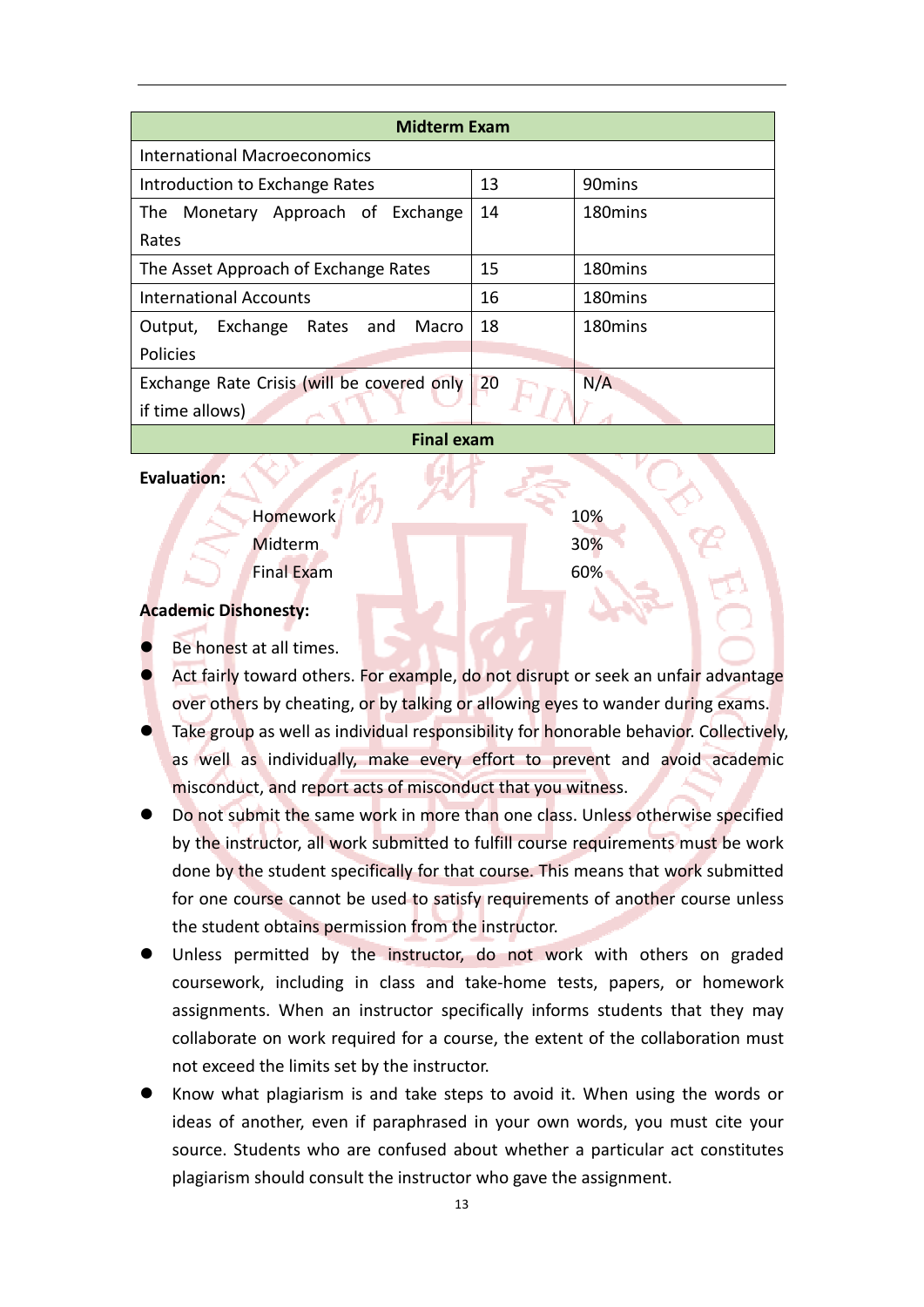| <b>Midterm Exam</b>                        |    |                     |  |
|--------------------------------------------|----|---------------------|--|
| <b>International Macroeconomics</b>        |    |                     |  |
| Introduction to Exchange Rates             | 13 | 90 <sub>mins</sub>  |  |
| Monetary Approach of Exchange<br>The       | 14 | 180mins             |  |
| Rates                                      |    |                     |  |
| The Asset Approach of Exchange Rates       | 15 | 180 <sub>mins</sub> |  |
| International Accounts                     | 16 | 180 <sub>mins</sub> |  |
| Exchange Rates<br>Macro<br>and<br>Output,  | 18 | 180 <sub>mins</sub> |  |
| Policies                                   |    |                     |  |
| Exchange Rate Crisis (will be covered only | 20 | N/A                 |  |
| if time allows)                            |    |                     |  |
|                                            |    |                     |  |

**Final exam**

### **Evaluation:**

Homework 10% Midterm 30% Final Exam 60%

### **Academic Dishonesty:**

- Be honest at all times.
- Act fairly toward others. For example, do not disrupt or seek an unfair advantage over others by cheating, or by talking or allowing eyes to wander during exams.
- Take group as well as individual responsibility for honorable behavior. Collectively, as well as individually, make every effort to prevent and avoid academic misconduct, and report acts of misconduct that you witness.
- Do not submit the same work in more than one class. Unless otherwise specified by the instructor, all work submitted to fulfill course requirements must be work done by the student specifically for that course. This means that work submitted for one course cannot be used to satisfy requirements of another course unless the student obtains permission from the instructor.
- Unless permitted by the instructor, do not work with others on graded coursework, including in class and take‐home tests, papers, or homework assignments. When an instructor specifically informs students that they may collaborate on work required for a course, the extent of the collaboration must not exceed the limits set by the instructor.
- Know what plagiarism is and take steps to avoid it. When using the words or ideas of another, even if paraphrased in your own words, you must cite your source. Students who are confused about whether a particular act constitutes plagiarism should consult the instructor who gave the assignment.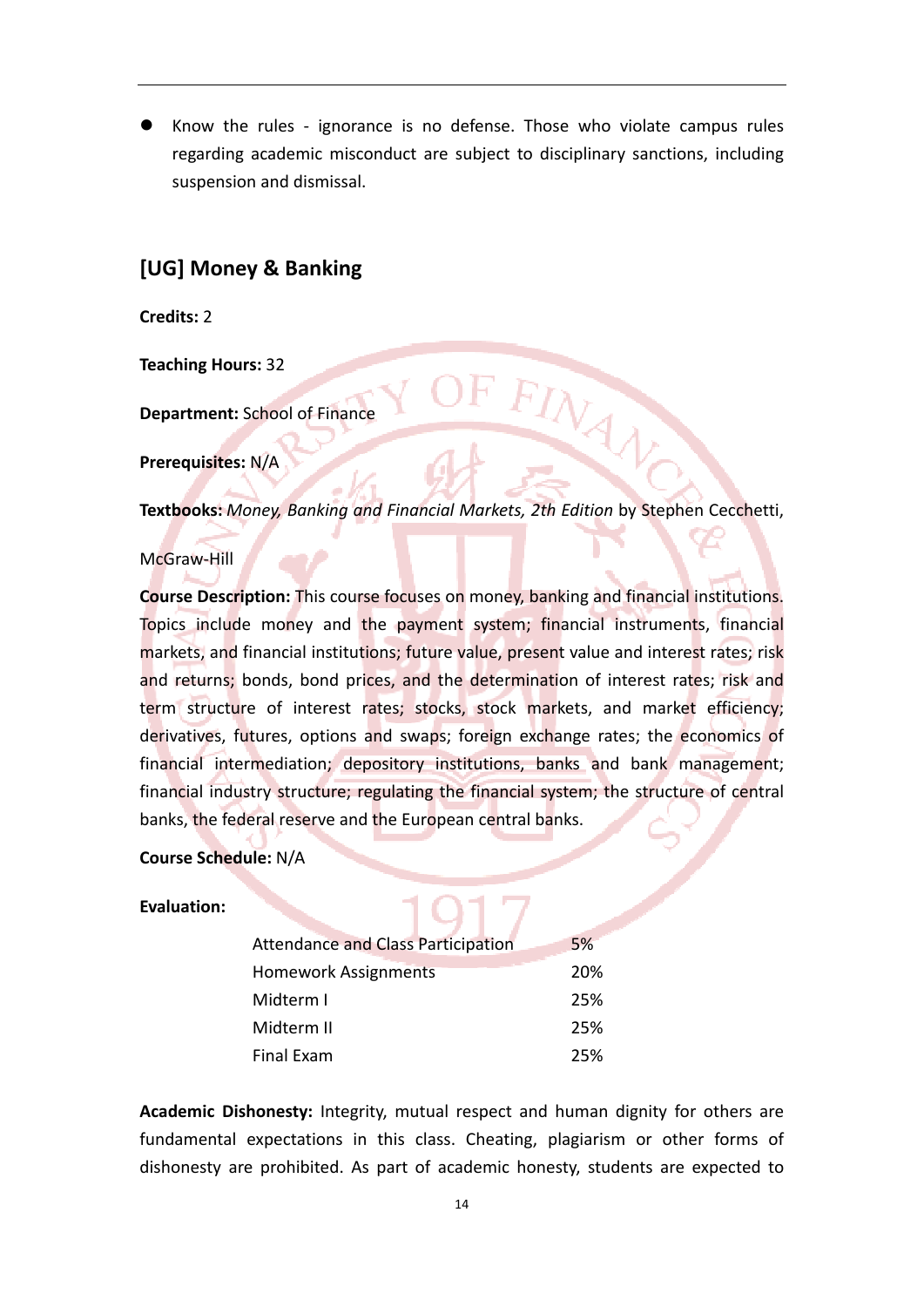Know the rules - ignorance is no defense. Those who violate campus rules regarding academic misconduct are subject to disciplinary sanctions, including suspension and dismissal.

# **[UG] Money & Banking**

**Credits:** 2

**Teaching Hours:** 32

**Department:** School of Finance

**Prerequisites:** N/A

**Textbooks:** *Money, Banking and Financial Markets, 2th Edition* by Stephen Cecchetti,

INAV

### McGraw‐Hill

**Course Description:** This course focuses on money, banking and financial institutions. Topics include money and the payment system; financial instruments, financial markets, and financial institutions; future value, present value and interest rates; risk and returns; bonds, bond prices, and the determination of interest rates; risk and term structure of interest rates; stocks, stock markets, and market efficiency; derivatives, futures, options and swaps; foreign exchange rates; the economics of financial intermediation; depository institutions, banks and bank management; financial industry structure; regulating the financial system; the structure of central banks, the federal reserve and the European central banks.

**Course Schedule:** N/A

### **Evaluation:**

| <b>Attendance and Class Participation</b> | 5%  |
|-------------------------------------------|-----|
|                                           |     |
| <b>Homework Assignments</b>               | 20% |
| Midterm I                                 | 25% |
|                                           |     |
| Midterm II                                | 25% |
|                                           |     |
| Final Exam                                | 25% |
|                                           |     |

**Academic Dishonesty:** Integrity, mutual respect and human dignity for others are fundamental expectations in this class. Cheating, plagiarism or other forms of dishonesty are prohibited. As part of academic honesty, students are expected to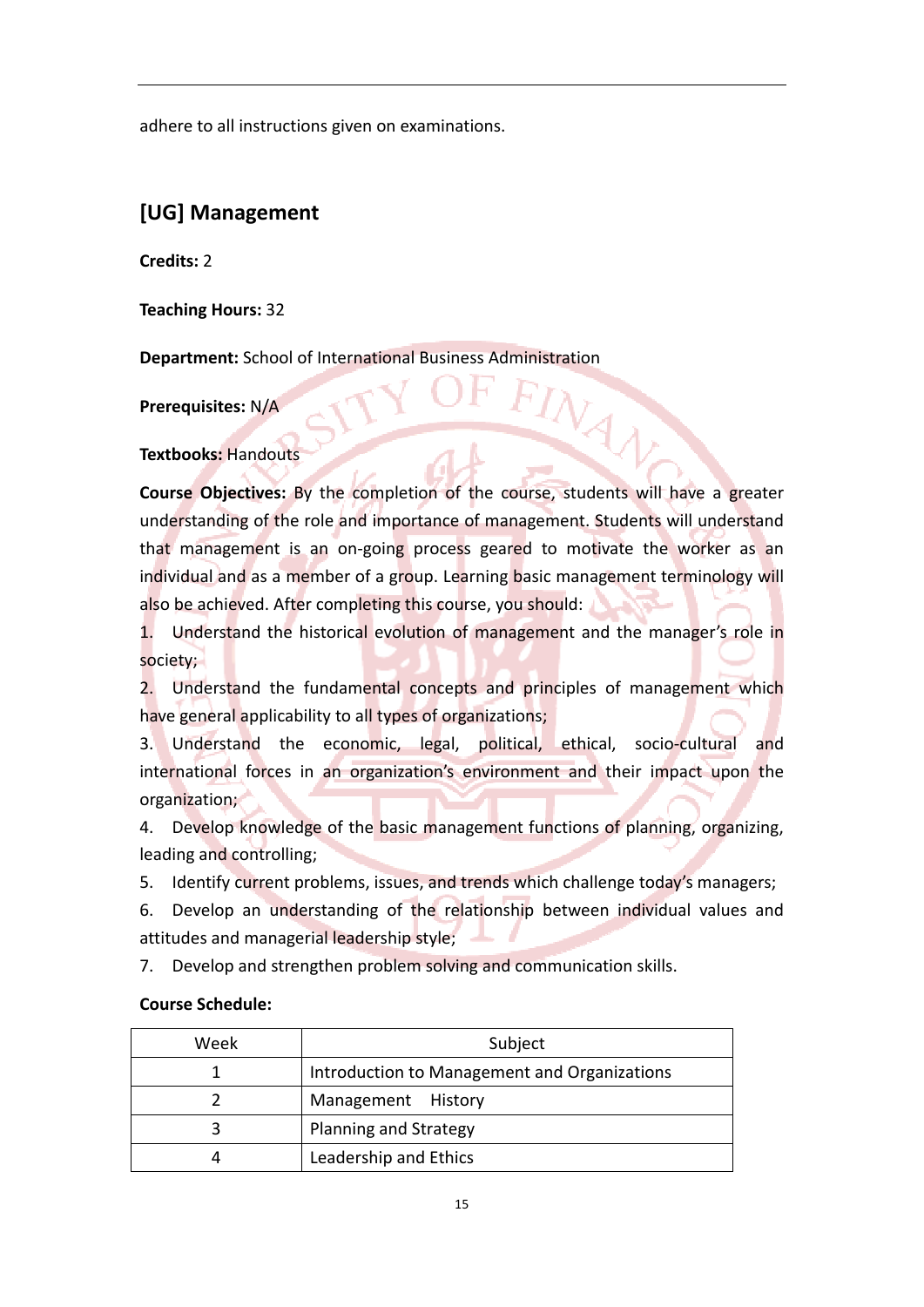adhere to all instructions given on examinations.

# **[UG] Management**

**Credits:** 2

**Teaching Hours:** 32

**Department:** School of International Business Administration

**Prerequisites:** N/A

**Textbooks:** Handouts

**Course Objectives:** By the completion of the course, students will have a greater understanding of the role and importance of management. Students will understand that management is an on-going process geared to motivate the worker as an individual and as a member of a group. Learning basic management terminology will also be achieved. After completing this course, you should:

VAN

1. Understand the historical evolution of management and the manager's role in society;

2. Understand the fundamental concepts and principles of management which have general applicability to all types of organizations;

3. Understand the economic, legal, political, ethical, socio-cultural and international forces in an organization's environment and their impact upon the organization;

4. Develop knowledge of the basic management functions of planning, organizing, leading and controlling;

5. Identify current problems, issues, and trends which challenge today's managers;

6. Develop an understanding of the relationship between individual values and attitudes and managerial leadership style;

7. Develop and strengthen problem solving and communication skills.

## **Course Schedule:**

| Week | Subject                                      |  |  |
|------|----------------------------------------------|--|--|
|      | Introduction to Management and Organizations |  |  |
|      | Management History                           |  |  |
|      | <b>Planning and Strategy</b>                 |  |  |
|      | Leadership and Ethics                        |  |  |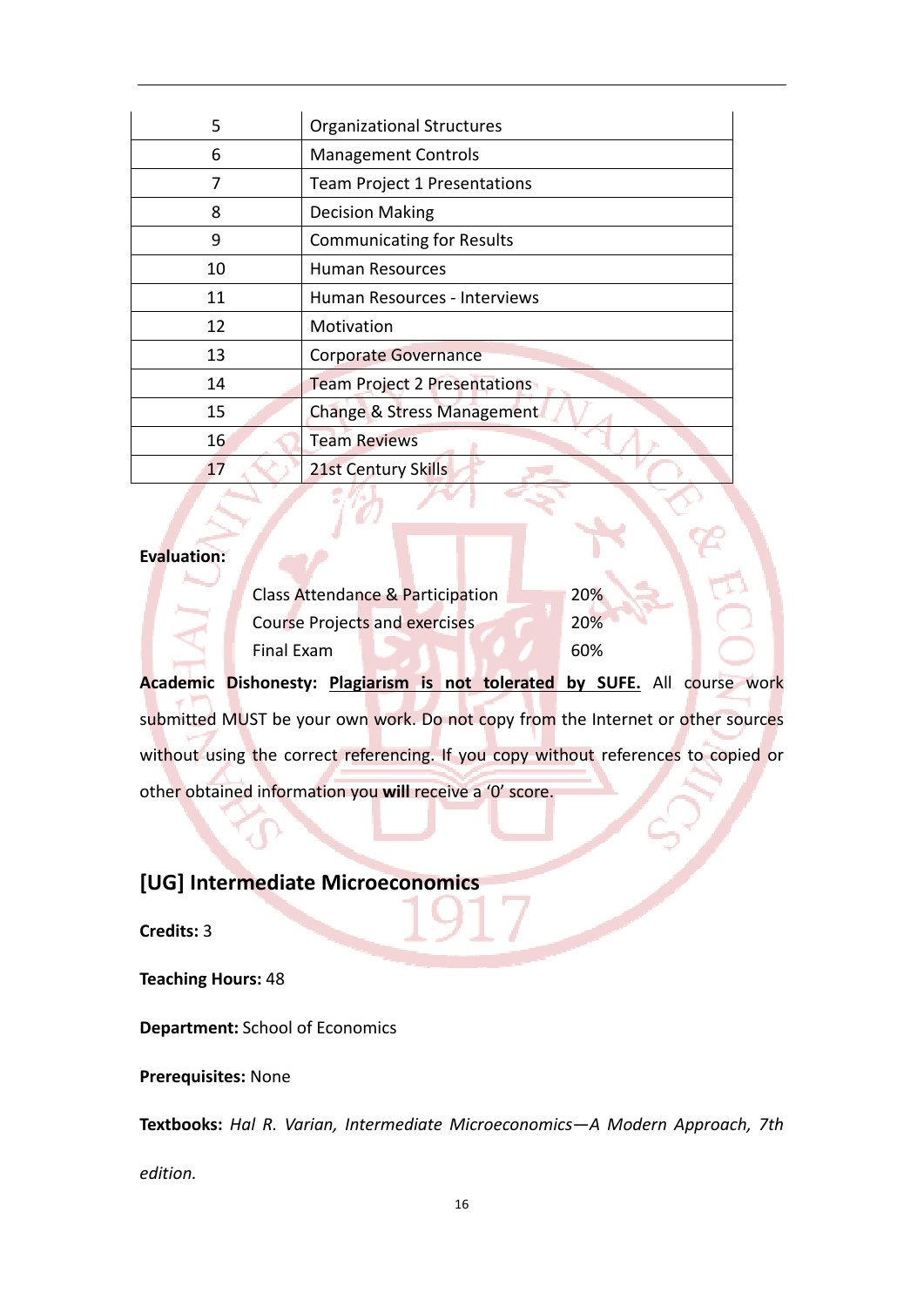| 5  | <b>Organizational Structures</b>    |
|----|-------------------------------------|
| 6  | <b>Management Controls</b>          |
| 7  | <b>Team Project 1 Presentations</b> |
| 8  | <b>Decision Making</b>              |
| 9  | <b>Communicating for Results</b>    |
| 10 | <b>Human Resources</b>              |
| 11 | Human Resources - Interviews        |
| 12 | Motivation                          |
| 13 | <b>Corporate Governance</b>         |
| 14 | <b>Team Project 2 Presentations</b> |
| 15 | Change & Stress Management          |
| 16 | <b>Team Reviews</b>                 |
| 17 | 21st Century Skills                 |

#### **Evaluation:**

| Class Attendance & Participation     | <b>20%</b> |
|--------------------------------------|------------|
| <b>Course Projects and exercises</b> | 20%        |
| Final Exam                           | 60%        |

**Academic Dishonesty: Plagiarism is not tolerated by SUFE.** All course work submitted MUST be your own work. Do not copy from the Internet or other sources without using the correct referencing. If you copy without references to copied or other obtained information you **will** receive a '0' score.

# **[UG] Intermediate Microeconomics**

**Credits:** 3

### **Teaching Hours:** 48

**Department:** School of Economics

**Prerequisites:** None

**Textbooks:** *Hal R. Varian, Intermediate Microeconomics—A Modern Approach, 7th*

*edition.*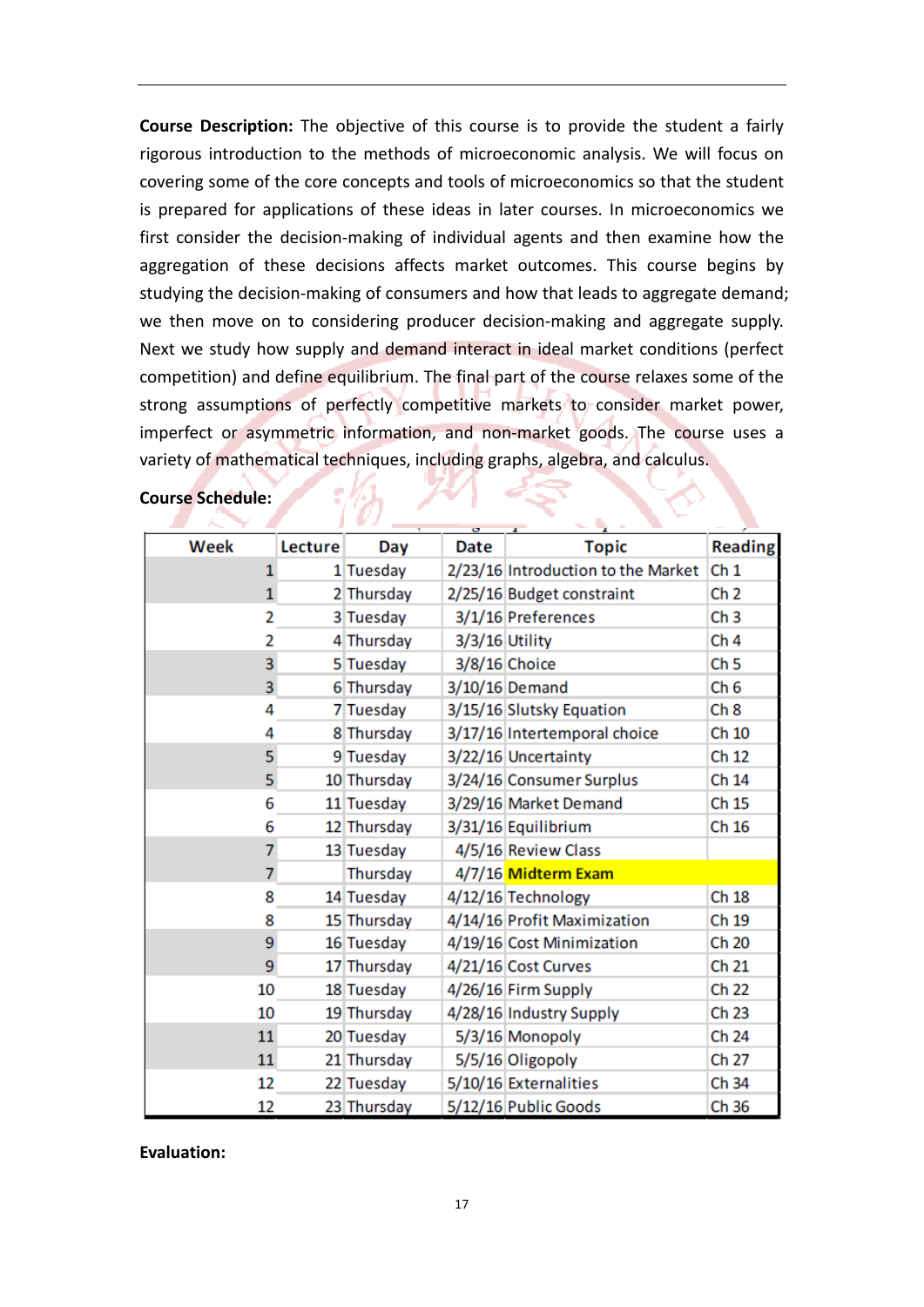**Course Description:** The objective of this course is to provide the student a fairly rigorous introduction to the methods of microeconomic analysis. We will focus on covering some of the core concepts and tools of microeconomics so that the student is prepared for applications of these ideas in later courses. In microeconomics we first consider the decision-making of individual agents and then examine how the aggregation of these decisions affects market outcomes. This course begins by studying the decision‐making of consumers and how that leads to aggregate demand; we then move on to considering producer decision-making and aggregate supply. Next we study how supply and demand interact in ideal market conditions (perfect competition) and define equilibrium. The final part of the course relaxes some of the strong assumptions of perfectly competitive markets to consider market power, imperfect or asymmetric information, and non-market goods. The course uses a variety of mathematical techniques, including graphs, algebra, and calculus.

| Week         | Lecture | Day         | Date           | <b>Topic</b>                       | <b>Reading</b>  |
|--------------|---------|-------------|----------------|------------------------------------|-----------------|
| $\mathbf{1}$ |         | 1 Tuesday   |                | 2/23/16 Introduction to the Market | Ch <sub>1</sub> |
| $\mathbf{1}$ |         | 2 Thursday  |                | 2/25/16 Budget constraint          | Ch <sub>2</sub> |
| 2            |         | 3 Tuesday   |                | 3/1/16 Preferences                 | Ch <sub>3</sub> |
| 2            |         | 4 Thursday  | 3/3/16 Utility |                                    | Ch <sub>4</sub> |
| 3            |         | 5 Tuesday   |                | 3/8/16 Choice                      | Ch <sub>5</sub> |
| 3            |         | 6 Thursday  |                | 3/10/16 Demand                     | Ch <sub>6</sub> |
| 4            |         | 7 Tuesday   |                | 3/15/16 Slutsky Equation           | Ch <sub>8</sub> |
| 4            |         | 8 Thursday  |                | 3/17/16 Intertemporal choice       | Ch 10           |
| 5            |         | 9 Tuesday   |                | 3/22/16 Uncertainty                | Ch 12           |
| 5            |         | 10 Thursday |                | 3/24/16 Consumer Surplus           | Ch 14           |
| 6            |         | 11 Tuesday  |                | 3/29/16 Market Demand              | Ch 15           |
| 6            |         | 12 Thursday |                | 3/31/16 Equilibrium                | Ch 16           |
| 7            |         | 13 Tuesday  |                | 4/5/16 Review Class                |                 |
| 7            |         | Thursday    |                | 4/7/16 Midterm Exam                |                 |
| 8            |         | 14 Tuesday  |                | 4/12/16 Technology                 | Ch 18           |
| 8            |         | 15 Thursday |                | 4/14/16 Profit Maximization        | Ch 19           |
| 9            |         | 16 Tuesday  |                | 4/19/16 Cost Minimization          | Ch 20           |
| 9            |         | 17 Thursday |                | 4/21/16 Cost Curves                | Ch 21           |
| 10           |         | 18 Tuesday  |                | 4/26/16 Firm Supply                | Ch 22           |
| 10           |         | 19 Thursday |                | 4/28/16 Industry Supply            | Ch 23           |
| 11           |         | 20 Tuesday  |                | 5/3/16 Monopoly                    | Ch 24           |
| 11           |         | 21 Thursday |                | 5/5/16 Oligopoly                   | Ch 27           |
| 12           |         | 22 Tuesday  |                | 5/10/16 Externalities              | Ch 34           |
| 12           |         | 23 Thursday |                | 5/12/16 Public Goods               | Ch 36           |

### **Course Schedule:**

**Evaluation:**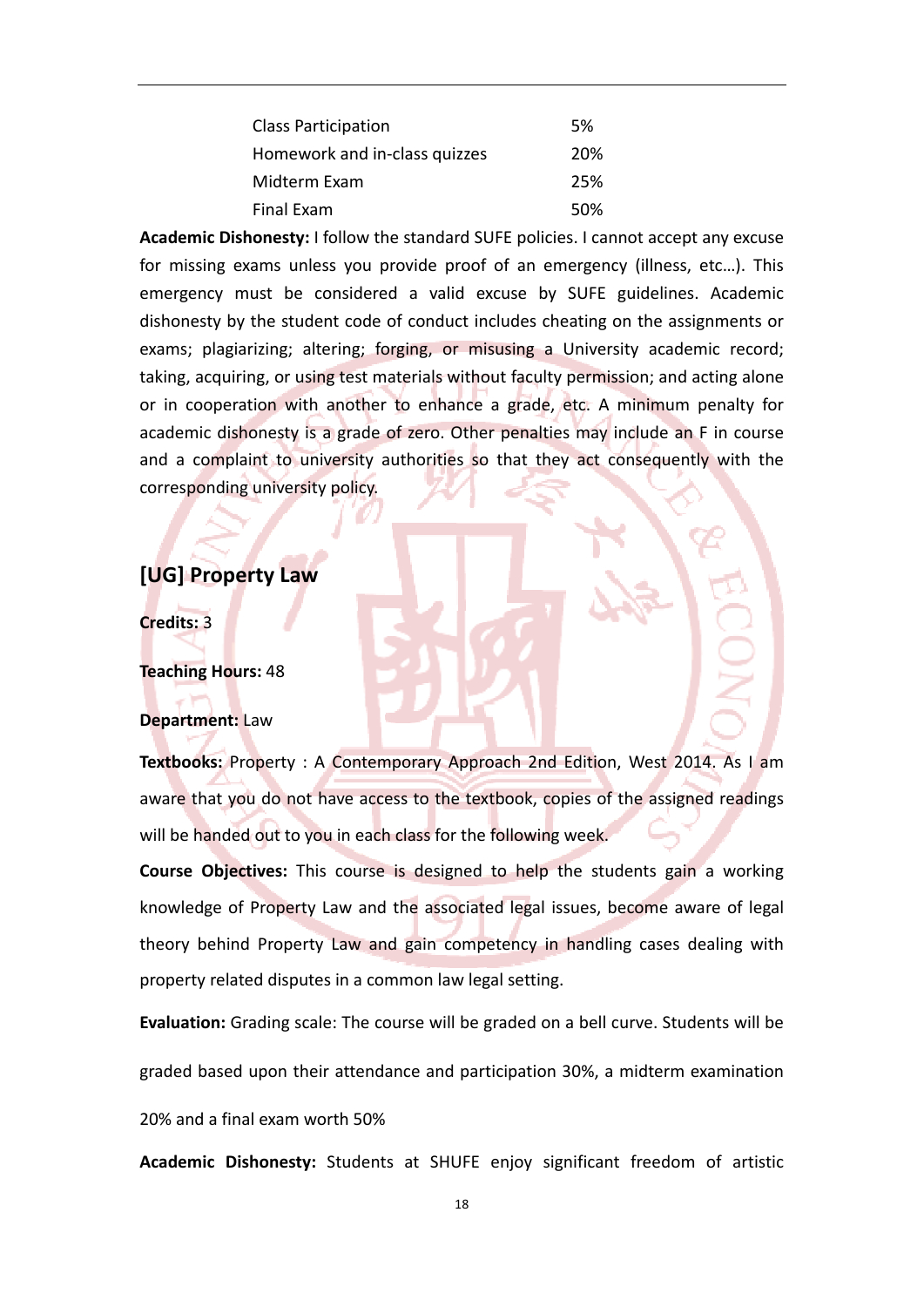| <b>Class Participation</b>    | 5%  |
|-------------------------------|-----|
| Homework and in-class quizzes | 20% |
| Midterm Exam                  | 25% |
| Final Exam                    | 50% |

**Academic Dishonesty:** I follow the standard SUFE policies. I cannot accept any excuse for missing exams unless you provide proof of an emergency (illness, etc…). This emergency must be considered a valid excuse by SUFE guidelines. Academic dishonesty by the student code of conduct includes cheating on the assignments or exams; plagiarizing; altering; forging, or misusing a University academic record; taking, acquiring, or using test materials without faculty permission; and acting alone or in cooperation with another to enhance a grade, etc. A minimum penalty for academic dishonesty is a grade of zero. Other penalties may include an F in course and a complaint to university authorities so that they act consequently with the corresponding university policy.

# **[UG] Property Law**

**Credits:** 3

**Teaching Hours:** 48

### **Department:** Law

**Textbooks:** Property : A Contemporary Approach 2nd Edition, West 2014. As I am aware that you do not have access to the textbook, copies of the assigned readings will be handed out to you in each class for the following week.

**Course Objectives:** This course is designed to help the students gain a working knowledge of Property Law and the associated legal issues, become aware of legal theory behind Property Law and gain competency in handling cases dealing with property related disputes in a common law legal setting.

**Evaluation:** Grading scale: The course will be graded on a bell curve. Students will be

graded based upon their attendance and participation 30%, a midterm examination

20% and a final exam worth 50%

**Academic Dishonesty:** Students at SHUFE enjoy significant freedom of artistic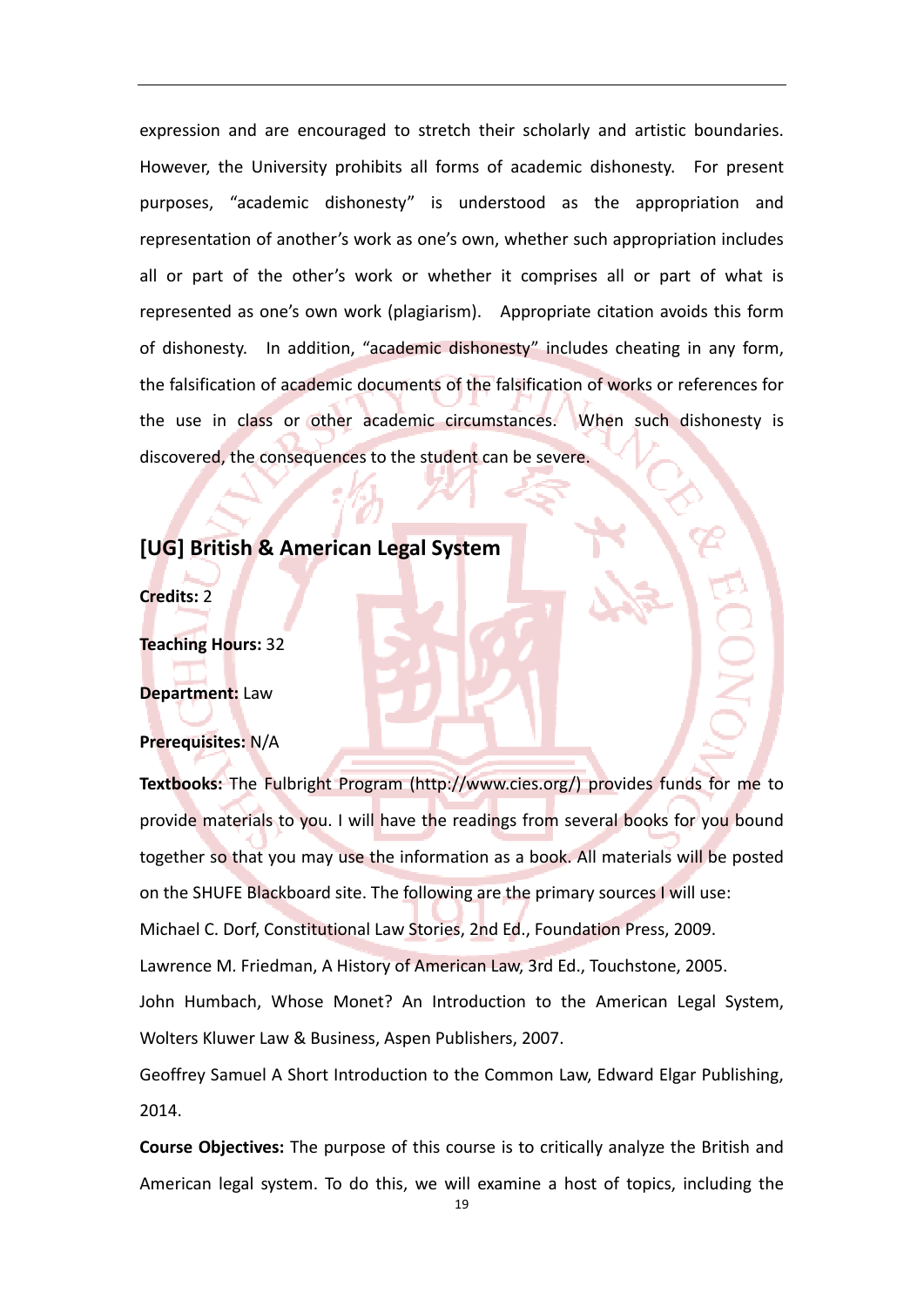expression and are encouraged to stretch their scholarly and artistic boundaries. However, the University prohibits all forms of academic dishonesty. For present purposes, "academic dishonesty" is understood as the appropriation and representation of another's work as one's own, whether such appropriation includes all or part of the other's work or whether it comprises all or part of what is represented as one's own work (plagiarism). Appropriate citation avoids this form of dishonesty. In addition, "academic dishonesty" includes cheating in any form, the falsification of academic documents of the falsification of works or references for the use in class or other academic circumstances. When such dishonesty is discovered, the consequences to the student can be severe.

# **[UG] British & American Legal System**

**Credits:** 2

**Teaching Hours:** 32

**Department:** Law

### **Prerequisites:** N/A

**Textbooks:** The Fulbright Program (http://www.cies.org/) provides funds for me to provide materials to you. I will have the readings from several books for you bound together so that you may use the information as a book. All materials will be posted on the SHUFE Blackboard site. The following are the primary sources I will use: Michael C. Dorf, Constitutional Law Stories, 2nd Ed., Foundation Press, 2009. Lawrence M. Friedman, A History of American Law, 3rd Ed., Touchstone, 2005. John Humbach, Whose Monet? An Introduction to the American Legal System, Wolters Kluwer Law & Business, Aspen Publishers, 2007.

Geoffrey Samuel A Short Introduction to the Common Law, Edward Elgar Publishing, 2014.

**Course Objectives:** The purpose of this course is to critically analyze the British and American legal system. To do this, we will examine a host of topics, including the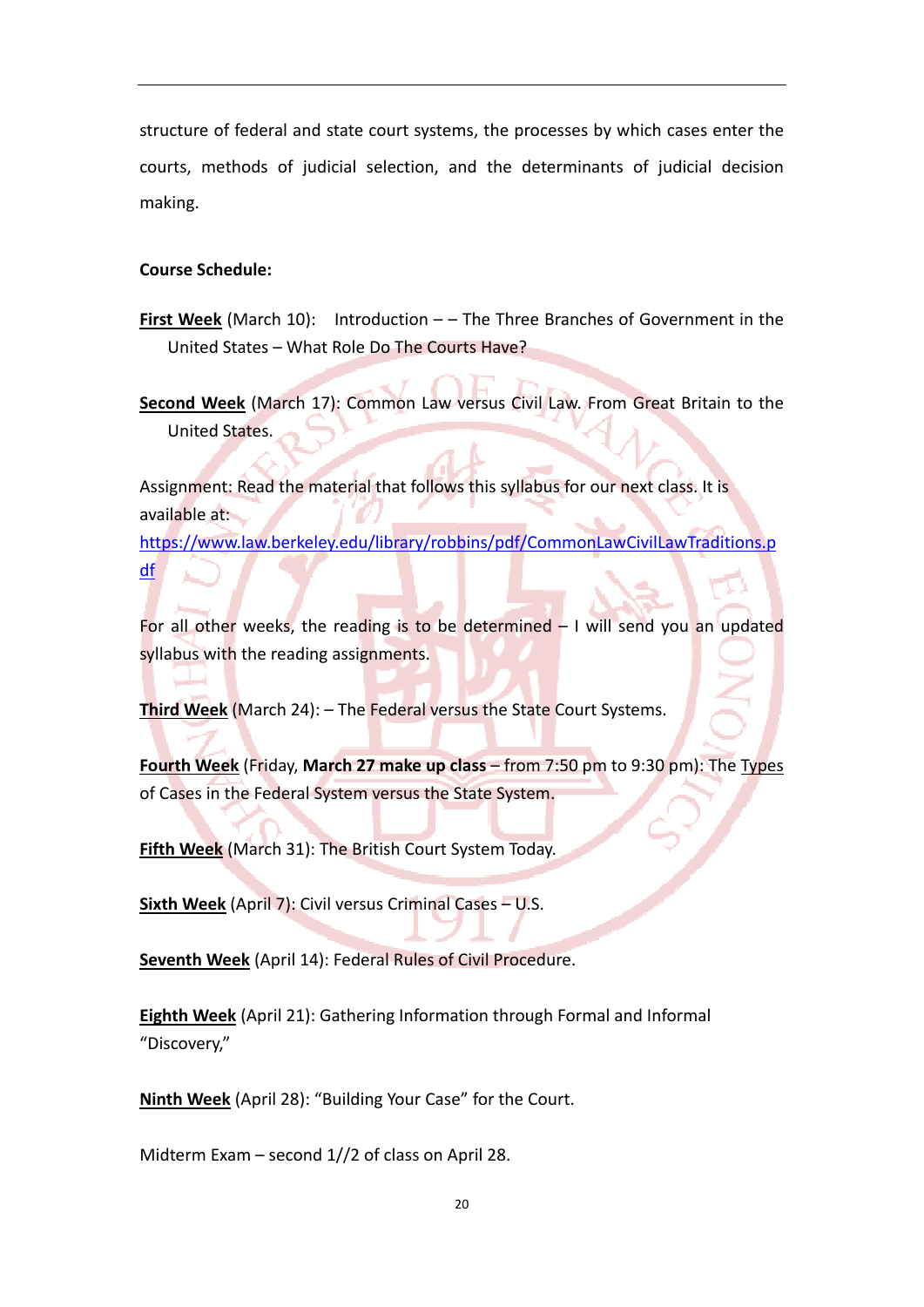structure of federal and state court systems, the processes by which cases enter the courts, methods of judicial selection, and the determinants of judicial decision making.

## **Course Schedule:**

**First Week** (March 10): Introduction – – The Three Branches of Government in the United States – What Role Do The Courts Have?

**Second Week** (March 17): Common Law versus Civil Law. From Great Britain to the United States.

Assignment: Read the material that follows this syllabus for our next class. It is available at:

https://www.law.berkeley.edu/library/robbins/pdf/CommonLawCivilLawTraditions.p df

For all other weeks, the reading is to be determined – I will send you an updated syllabus with the reading assignments.

**Third Week** (March 24): – The Federal versus the State Court Systems.

**Fourth Week** (Friday, **March 27 make up class** – from 7:50 pm to 9:30 pm): The Types of Cases in the Federal System versus the State System.

**Fifth Week** (March 31): The British Court System Today.

**Sixth Week** (April 7): Civil versus Criminal Cases – U.S.

**Seventh Week** (April 14): Federal Rules of Civil Procedure.

**Eighth Week** (April 21): Gathering Information through Formal and Informal "Discovery,"

**Ninth Week** (April 28): "Building Your Case" for the Court.

Midterm Exam – second 1//2 of class on April 28.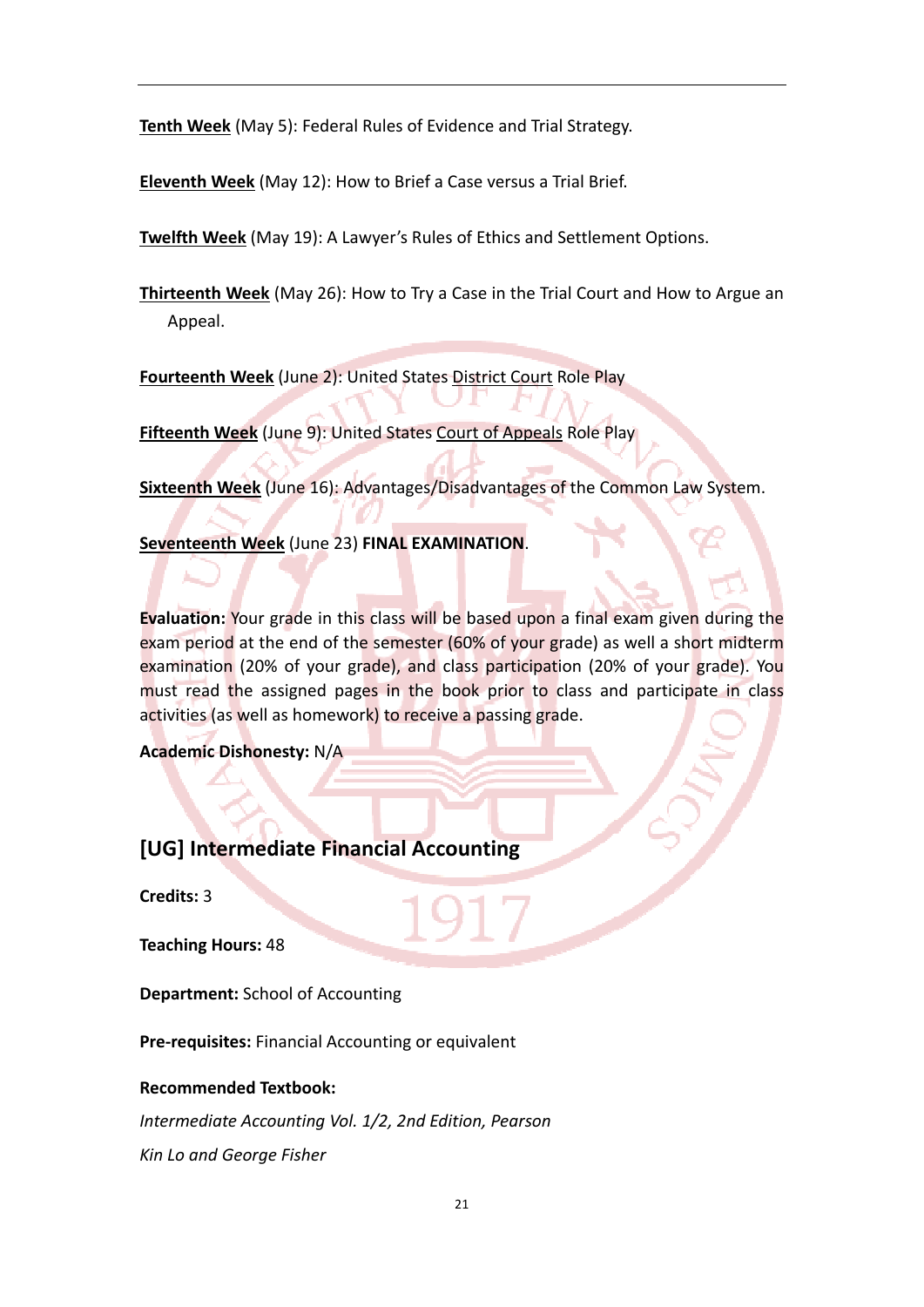**Tenth Week** (May 5): Federal Rules of Evidence and Trial Strategy.

**Eleventh Week** (May 12): How to Brief a Case versus a Trial Brief.

**Twelfth Week** (May 19): A Lawyer's Rules of Ethics and Settlement Options.

**Thirteenth Week** (May 26): How to Try a Case in the Trial Court and How to Argue an Appeal.

**Fourteenth Week** (June 2): United States District Court Role Play

**Fifteenth Week** (June 9): United States Court of Appeals Role Play

**Sixteenth Week** (June 16): Advantages/Disadvantages of the Common Law System.

**Seventeenth Week** (June 23) **FINAL EXAMINATION**.

**Evaluation:** Your grade in this class will be based upon a final exam given during the exam period at the end of the semester (60% of your grade) as well a short midterm examination (20% of your grade), and class participation (20% of your grade). You must read the assigned pages in the book prior to class and participate in class activities (as well as homework) to receive a passing grade.

**Academic Dishonesty:** N/A

# **[UG] Intermediate Financial Accounting**

**Credits:** 3

**Teaching Hours:** 48

**Department:** School of Accounting

**Pre‐requisites:** Financial Accounting or equivalent

## **Recommended Textbook:**

*Intermediate Accounting Vol. 1/2, 2nd Edition, Pearson Kin Lo and George Fisher*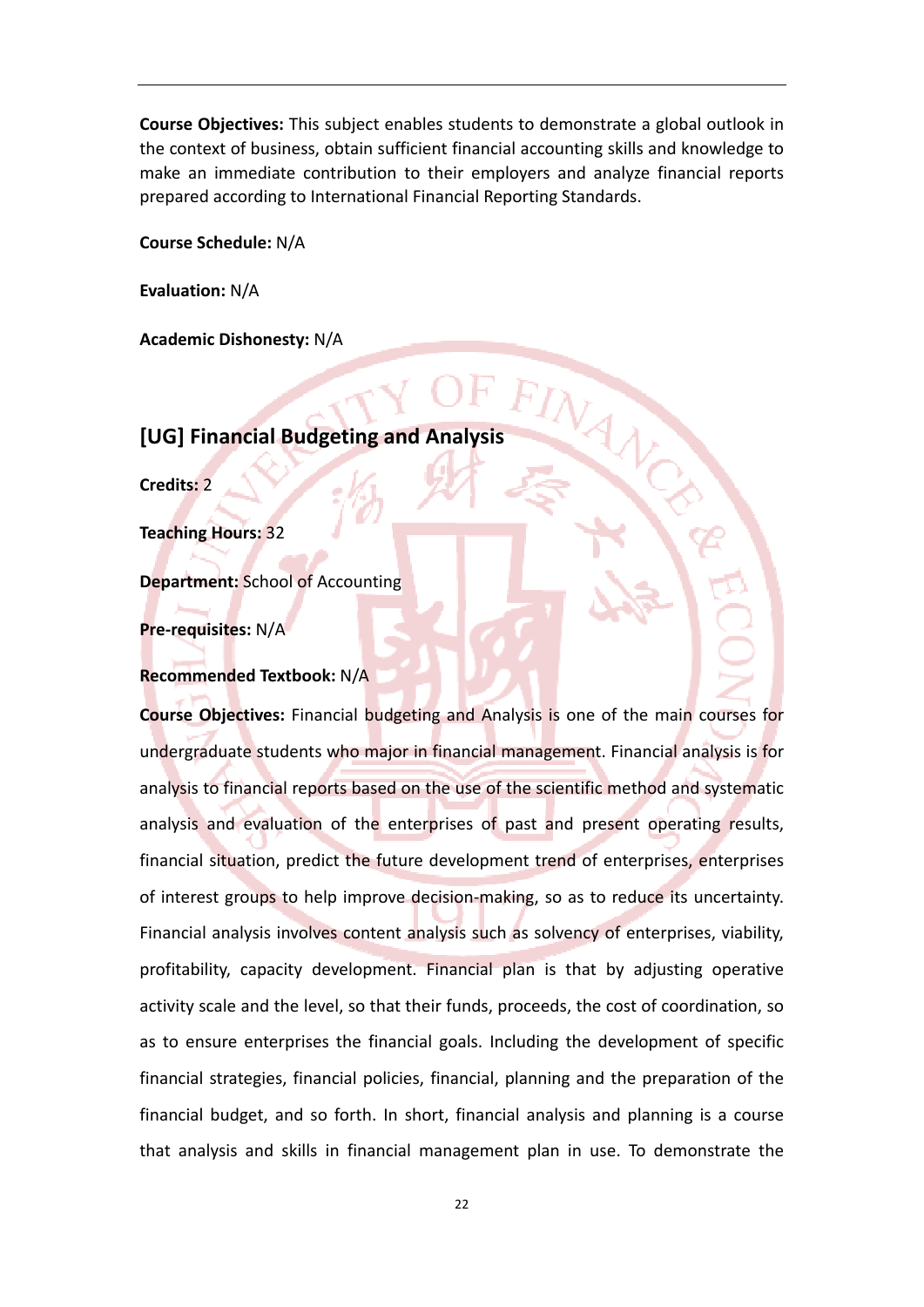**Course Objectives:** This subject enables students to demonstrate a global outlook in the context of business, obtain sufficient financial accounting skills and knowledge to make an immediate contribution to their employers and analyze financial reports prepared according to International Financial Reporting Standards.

**Course Schedule:** N/A

**Evaluation:** N/A

**Academic Dishonesty:** N/A

# **[UG] Financial Budgeting and Analysis**

**Credits:** 2

**Teaching Hours:** 32

**Department:** School of Accounting

**Pre‐requisites:** N/A

#### **Recommended Textbook:** N/A

**Course Objectives:** Financial budgeting and Analysis is one of the main courses for undergraduate students who major in financial management. Financial analysis is for analysis to financial reports based on the use of the scientific method and systematic analysis and evaluation of the enterprises of past and present operating results, financial situation, predict the future development trend of enterprises, enterprises of interest groups to help improve decision‐making, so as to reduce its uncertainty. Financial analysis involves content analysis such as solvency of enterprises, viability, profitability, capacity development. Financial plan is that by adjusting operative activity scale and the level, so that their funds, proceeds, the cost of coordination, so as to ensure enterprises the financial goals. Including the development of specific financial strategies, financial policies, financial, planning and the preparation of the financial budget, and so forth. In short, financial analysis and planning is a course that analysis and skills in financial management plan in use. To demonstrate the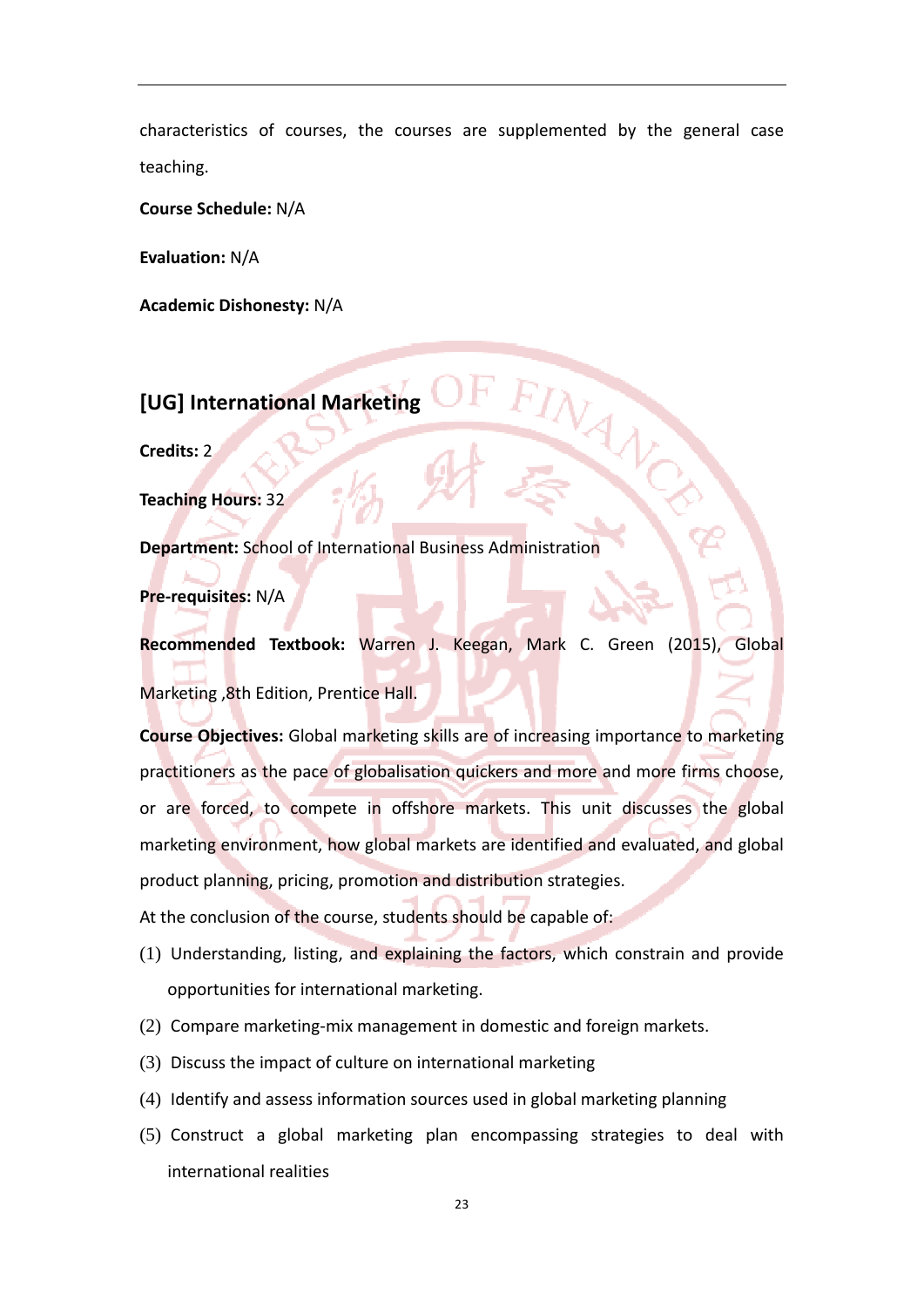characteristics of courses, the courses are supplemented by the general case teaching.

**Course Schedule:** N/A

**Evaluation:** N/A

**Academic Dishonesty:** N/A

**[UG] International Marketing**

**Credits:** 2

**Teaching Hours:** 32

**Department:** School of International Business Administration

**Pre‐requisites:** N/A

**Recommended Textbook:** Warren J. Keegan, Mark C. Green (2015), Global Marketing , 8th Edition, Prentice Hall.

**Course Objectives:** Global marketing skills are of increasing importance to marketing practitioners as the pace of globalisation quickers and more and more firms choose, or are forced, to compete in offshore markets. This unit discusses the global marketing environment, how global markets are identified and evaluated, and global product planning, pricing, promotion and distribution strategies.

At the conclusion of the course, students should be capable of:

- (1) Understanding, listing, and explaining the factors, which constrain and provide opportunities for international marketing.
- (2) Compare marketing‐mix management in domestic and foreign markets.
- (3) Discuss the impact of culture on international marketing
- (4) Identify and assess information sources used in global marketing planning
- (5) Construct a global marketing plan encompassing strategies to deal with international realities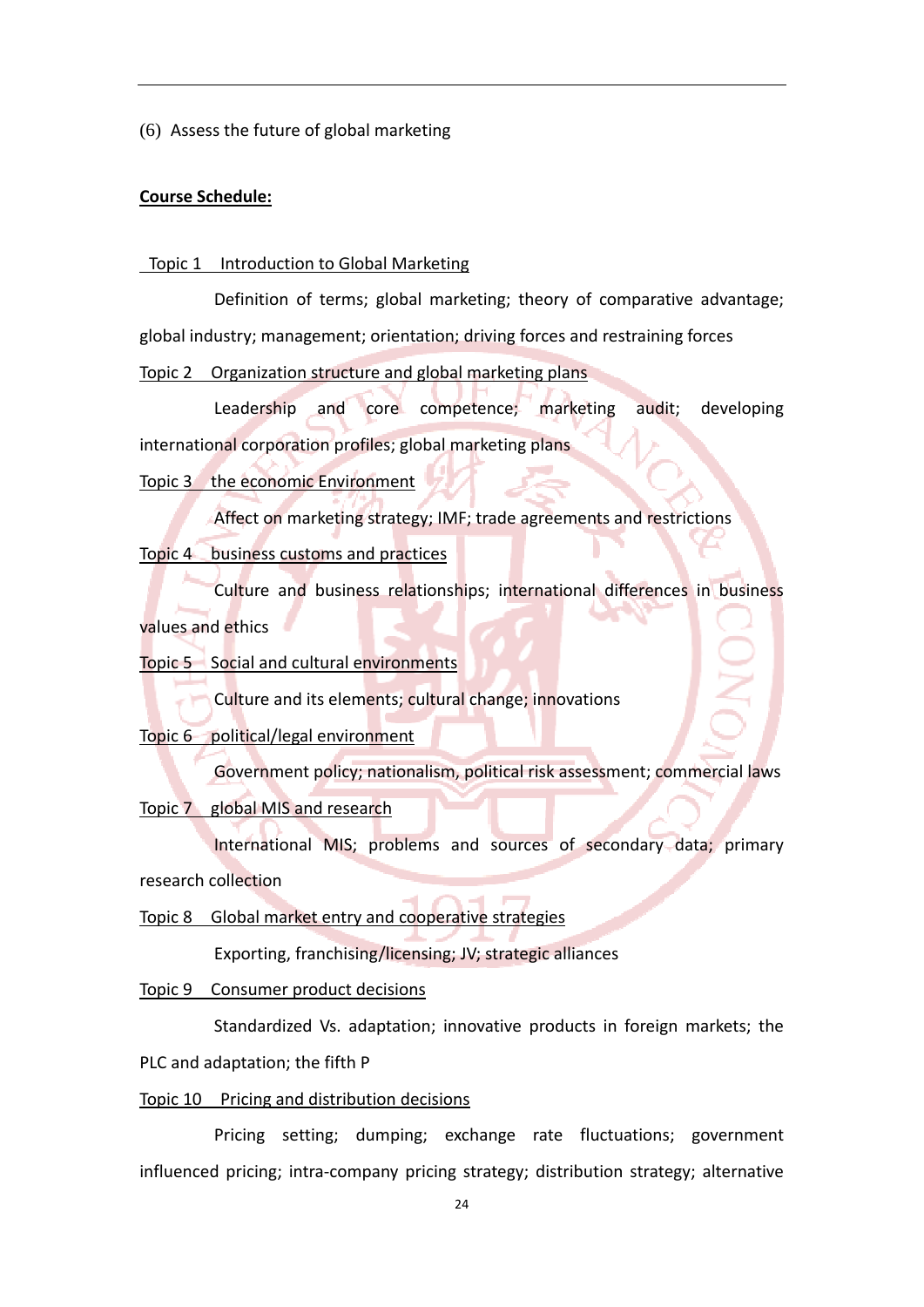(6) Assess the future of global marketing

### **Course Schedule:**

#### Topic 1 Introduction to Global Marketing

 Definition of terms; global marketing; theory of comparative advantage; global industry; management; orientation; driving forces and restraining forces

Topic 2 Organization structure and global marketing plans

 Leadership and core competence; marketing audit; developing international corporation profiles; global marketing plans

#### Topic 3 the economic Environment

Affect on marketing strategy; IMF; trade agreements and restrictions

Topic 4 business customs and practices

Culture and business relationships; international differences in business

values and ethics

Topic 5 Social and cultural environments

Culture and its elements; cultural change; innovations

Topic 6 political/legal environment

Government policy; nationalism, political risk assessment; commercial laws

## Topic 7 global MIS and research

 International MIS; problems and sources of secondary data; primary research collection

Topic 8 Global market entry and cooperative strategies

Exporting, franchising/licensing; JV; strategic alliances

Topic 9 Consumer product decisions

 Standardized Vs. adaptation; innovative products in foreign markets; the PLC and adaptation; the fifth P

#### Topic 10 Pricing and distribution decisions

 Pricing setting; dumping; exchange rate fluctuations; government influenced pricing; intra‐company pricing strategy; distribution strategy; alternative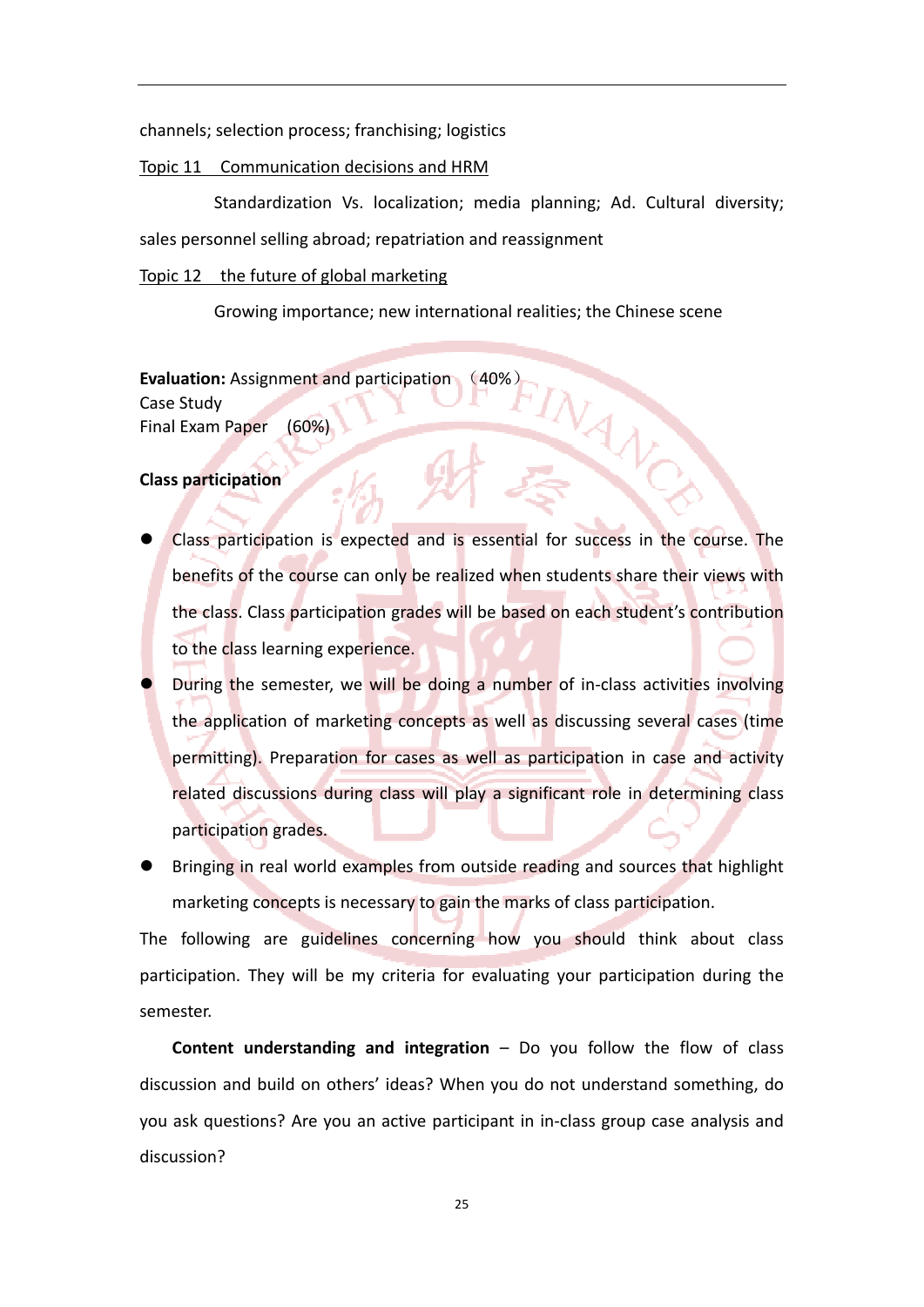channels; selection process; franchising; logistics

#### Topic 11 Communication decisions and HRM

 Standardization Vs. localization; media planning; Ad. Cultural diversity; sales personnel selling abroad; repatriation and reassignment

#### Topic 12 the future of global marketing

Growing importance; new international realities; the Chinese scene

**Evaluation:** Assignment and participation Case Study Final Exam Paper (60%)

#### **Class participation**

- Class participation is expected and is essential for success in the course. The benefits of the course can only be realized when students share their views with the class. Class participation grades will be based on each student's contribution to the class learning experience.
- During the semester, we will be doing a number of in-class activities involving the application of marketing concepts as well as discussing several cases (time permitting). Preparation for cases as well as participation in case and activity related discussions during class will play a significant role in determining class participation grades.
- Bringing in real world examples from outside reading and sources that highlight marketing concepts is necessary to gain the marks of class participation.

The following are guidelines concerning how you should think about class participation. They will be my criteria for evaluating your participation during the semester.

**Content understanding and integration** – Do you follow the flow of class discussion and build on others' ideas? When you do not understand something, do you ask questions? Are you an active participant in in‐class group case analysis and discussion?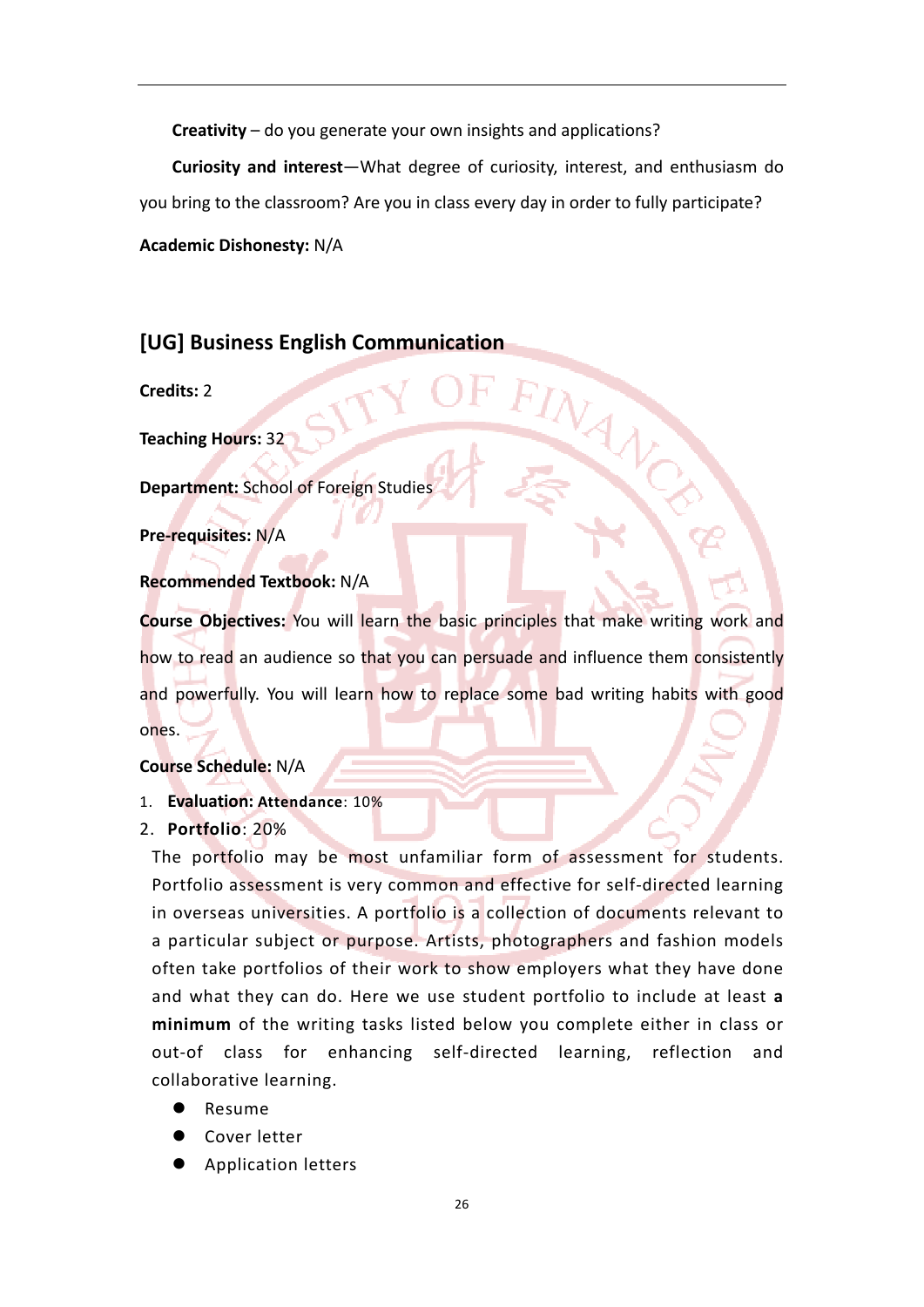**Creativity** – do you generate your own insights and applications?

**Curiosity and interest**—What degree of curiosity, interest, and enthusiasm do you bring to the classroom? Are you in class every day in order to fully participate?

**Academic Dishonesty:** N/A

# **[UG] Business English Communication**

**Credits:** 2

**Teaching Hours:** 32

**Department:** School of Foreign Studies

**Pre‐requisites:** N/A

## **Recommended Textbook:** N/A

**Course Objectives:** You will learn the basic principles that make writing work and how to read an audience so that you can persuade and influence them consistently and powerfully. You will learn how to replace some bad writing habits with good ones.

## **Course Schedule:** N/A

- 1. **Evaluation: Attendance**: 10%
- 2. **Portfolio**: 20%

The portfolio may be most unfamiliar form of assessment for students. Portfolio assessment is very common and effective for self-directed learning in overseas universities. A portfolio is a collection of documents relevant to a particular subject or purpose. Artists, photographers and fashion models often take portfolios of their work to show employers what they have done and what they can do. Here we use student portfolio to include at least **a minimum** of the writing tasks listed below you complete either in class or out‐of class for enhancing self‐directed learning, reflection and collaborative learning.

Resume

- Cover letter
- Application letters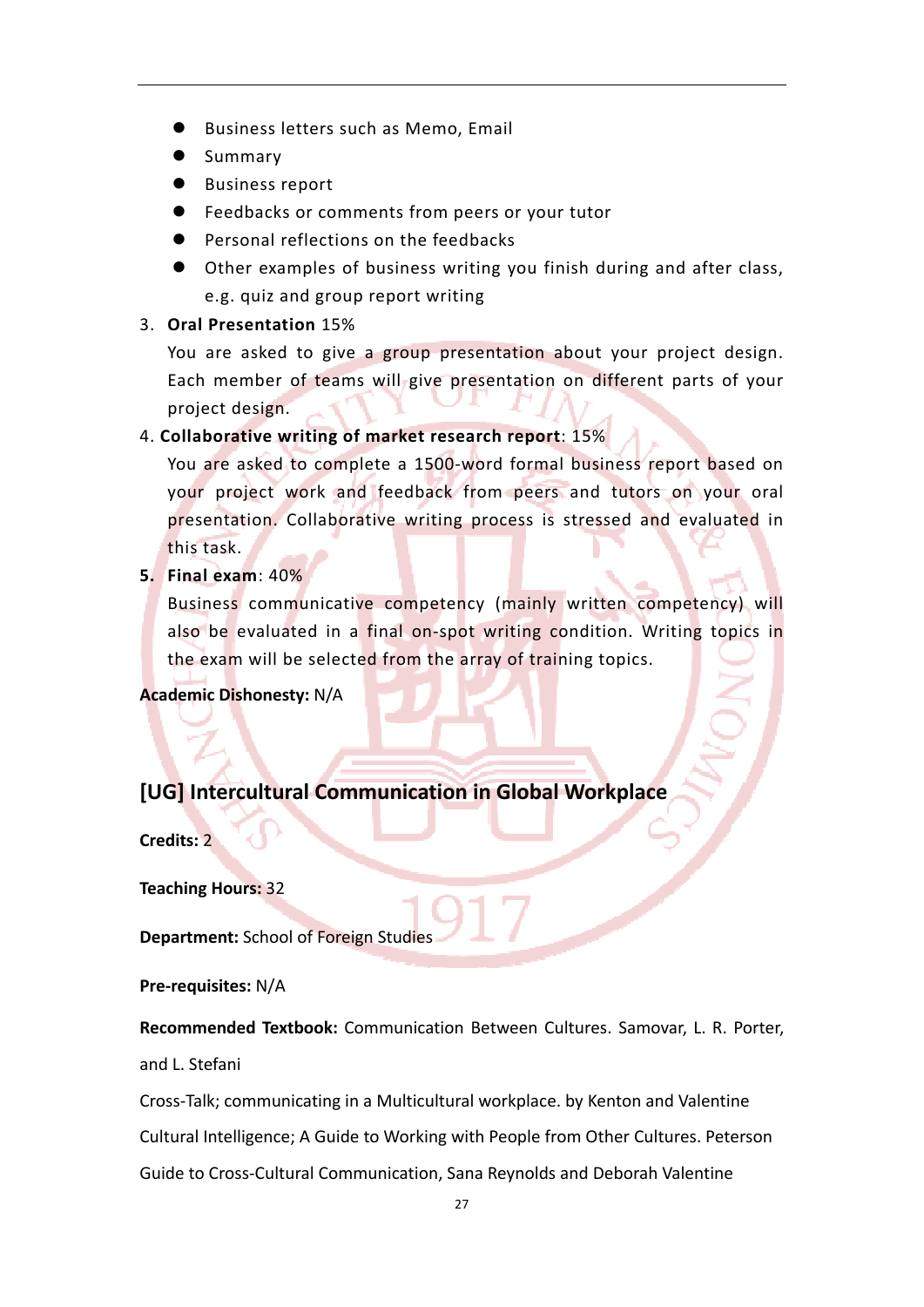- Business letters such as Memo, Email
- **Summary**
- Business report
- Feedbacks or comments from peers or your tutor
- Personal reflections on the feedbacks
- Other examples of business writing you finish during and after class, e.g. quiz and group report writing

## 3. **Oral Presentation** 15%

You are asked to give a group presentation about your project design. Each member of teams will give presentation on different parts of your project design.

## 4. **Collaborative writing of market research report**: 15%

You are asked to complete a 1500‐word formal business report based on your project work and feedback from peers and tutors on your oral presentation. Collaborative writing process is stressed and evaluated in this task.

**5. Final exam**: 40%

Business communicative competency (mainly written competency) will also be evaluated in a final on‐spot writing condition. Writing topics in the exam will be selected from the array of training topics.

**Academic Dishonesty:** N/A

# **[UG] Intercultural Communication in Global Workplace**

**Credits:** 2

**Teaching Hours:** 32

**Department:** School of Foreign Studies

**Pre‐requisites:** N/A

**Recommended Textbook:** Communication Between Cultures. Samovar, L. R. Porter,

and L. Stefani

Cross‐Talk; communicating in a Multicultural workplace. by Kenton and Valentine

Cultural Intelligence; A Guide to Working with People from Other Cultures. Peterson

Guide to Cross‐Cultural Communication, Sana Reynolds and Deborah Valentine